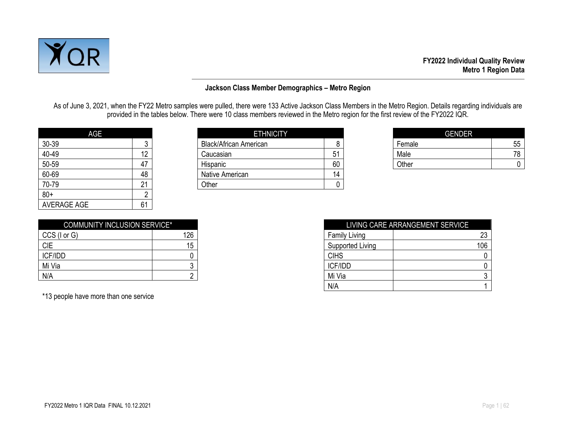

#### **Jackson Class Member Demographics – Metro Region**

As of June 3, 2021, when the FY22 Metro samples were pulled, there were 133 Active Jackson Class Members in the Metro Region. Details regarding individuals are provided in the tables below. There were 10 class members reviewed in the Metro region for the first review of the FY2022 IQR.

| <b>AGE</b>         |    |
|--------------------|----|
| 30-39              | 3  |
| 40-49              | 12 |
| 50-59              | 47 |
| 60-69              | 48 |
| 70-79              | 21 |
| $80+$              | 2  |
| <b>AVERAGE AGE</b> | 61 |

| AGE   |    | <b>ETHNICITY</b>              |    | <b>GENDER</b> |    |
|-------|----|-------------------------------|----|---------------|----|
| 30-39 |    | <b>Black/African American</b> |    | Female        | 55 |
| 40-49 |    | Caucasian                     | 51 | Male          | 78 |
| 50-59 | 47 | Hispanic                      | 60 | Other         |    |
| 60-69 | 48 | Native American               | 14 |               |    |
| 70-79 | ິ  | Other                         |    |               |    |
|       |    |                               |    |               |    |

| <b>GENDER</b> |    |
|---------------|----|
| Female        | 55 |
| Male          |    |
| Other         |    |

| <b>COMMUNITY INCLUSION SERVICE*</b> |     |
|-------------------------------------|-----|
| $CCS$ ( $I$ or $G$ )                | 126 |
| <b>CIE</b>                          | 15  |
| ICF/IDD                             |     |
| Mi Via                              |     |
| N/A                                 |     |

\*13 people have more than one service

| <b>COMMUNITY INCLUSION SERVICE*</b> |     |                      | LIVING CARE ARRANGEMENT SERVICE |
|-------------------------------------|-----|----------------------|---------------------------------|
| CCS (I or G)                        | 126 | <b>Family Living</b> | 23                              |
| <b>CIE</b>                          | 15  | Supported Living     | 106                             |
| <b>ICF/IDD</b>                      |     | <b>CIHS</b>          |                                 |
| Mi Via                              |     | ICF/IDD              |                                 |
| N/A                                 |     | Mi Via               |                                 |
|                                     |     | N/A                  |                                 |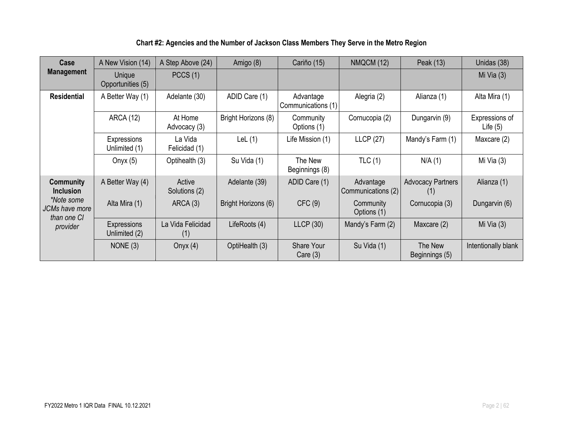| Chart #2: Agencies and the Number of Jackson Class Members They Serve in the Metro Region |  |
|-------------------------------------------------------------------------------------------|--|
|-------------------------------------------------------------------------------------------|--|

| Case                                        | A New Vision (14)                                  | A Step Above (24)        | Amigo (8)                       | Cariño (15)                     | <b>NMQCM (12)</b>               | Peak (13)                       | Unidas (38)                  |
|---------------------------------------------|----------------------------------------------------|--------------------------|---------------------------------|---------------------------------|---------------------------------|---------------------------------|------------------------------|
| <b>Management</b>                           | Unique<br>Opportunities (5)                        | PCCS(1)                  |                                 |                                 |                                 |                                 | Mi Via $(3)$                 |
| <b>Residential</b>                          | ADID Care (1)<br>A Better Way (1)<br>Adelante (30) |                          | Advantage<br>Communications (1) | Alegria (2)                     | Alianza (1)                     | Alta Mira (1)                   |                              |
|                                             | <b>ARCA (12)</b>                                   | At Home<br>Advocacy (3)  | Bright Horizons (8)             | Community<br>Options (1)        | Cornucopia (2)                  | Dungarvin (9)                   | Expressions of<br>Life $(5)$ |
|                                             | Expressions<br>Unlimited (1)                       | La Vida<br>Felicidad (1) | LeL $(1)$                       | Life Mission (1)                | <b>LLCP</b> (27)                | Mandy's Farm (1)                | Maxcare (2)                  |
|                                             | Onyx $(5)$                                         | Optihealth (3)           | Su Vida (1)                     | The New<br>Beginnings (8)       | TLC(1)                          | N/A(1)                          | Mi Via $(3)$                 |
| <b>Community</b><br><b>Inclusion</b>        | A Better Way (4)                                   | Active<br>Solutions (2)  | Adelante (39)                   | ADID Care (1)                   | Advantage<br>Communications (2) | <b>Advocacy Partners</b><br>(1) | Alianza (1)                  |
| *Note some<br>JCMs have more<br>than one CI | Alta Mira (1)                                      | ARCA(3)                  | Bright Horizons (6)             | CFC(9)                          | Community<br>Options (1)        | Cornucopia (3)                  | Dungarvin (6)                |
| provider                                    | <b>Expressions</b><br>Unlimited (2)                | La Vida Felicidad<br>(1) | LifeRoots (4)                   | LLCP(30)                        | Mandy's Farm (2)                | Maxcare (2)                     | Mi Via $(3)$                 |
|                                             | NONE $(3)$                                         | Onyx $(4)$               | OptiHealth (3)                  | <b>Share Your</b><br>Care $(3)$ | Su Vida (1)                     | The New<br>Beginnings (5)       | Intentionally blank          |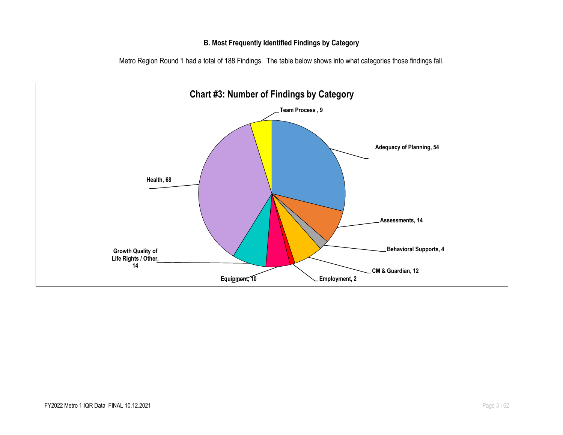#### **B. Most Frequently Identified Findings by Category**

Metro Region Round 1 had a total of 188 Findings. The table below shows into what categories those findings fall.

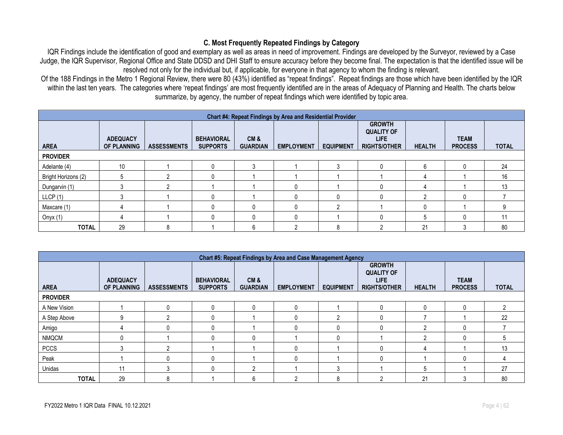#### **C. Most Frequently Repeated Findings by Category**

IQR Findings include the identification of good and exemplary as well as areas in need of improvement. Findings are developed by the Surveyor, reviewed by a Case Judge, the IQR Supervisor, Regional Office and State DDSD and DHI Staff to ensure accuracy before they become final. The expectation is that the identified issue will be resolved not only for the individual but, if applicable, for everyone in that agency to whom the finding is relevant.

Of the 188 Findings in the Metro 1 Regional Review, there were 80 (43%) identified as "repeat findings". Repeat findings are those which have been identified by the IQR within the last ten years. The categories where 'repeat findings' are most frequently identified are in the areas of Adequacy of Planning and Health. The charts below summarize, by agency, the number of repeat findings which were identified by topic area.

|                     | Chart #4: Repeat Findings by Area and Residential Provider |                    |                                      |                        |                   |                  |                                                                    |               |                               |              |  |  |  |
|---------------------|------------------------------------------------------------|--------------------|--------------------------------------|------------------------|-------------------|------------------|--------------------------------------------------------------------|---------------|-------------------------------|--------------|--|--|--|
| <b>AREA</b>         | <b>ADEQUACY</b><br><b>OF PLANNING</b>                      | <b>ASSESSMENTS</b> | <b>BEHAVIORAL</b><br><b>SUPPORTS</b> | CM&<br><b>GUARDIAN</b> | <b>EMPLOYMENT</b> | <b>EQUIPMENT</b> | <b>GROWTH</b><br><b>QUALITY OF</b><br>LIFE.<br><b>RIGHTS/OTHER</b> | <b>HEALTH</b> | <b>TEAM</b><br><b>PROCESS</b> | <b>TOTAL</b> |  |  |  |
| <b>PROVIDER</b>     |                                                            |                    |                                      |                        |                   |                  |                                                                    |               |                               |              |  |  |  |
| Adelante (4)        | 10                                                         |                    |                                      |                        |                   | 3                |                                                                    | 6             | $\Omega$                      | 24           |  |  |  |
| Bright Horizons (2) | 5                                                          | ∩                  |                                      |                        |                   |                  |                                                                    |               |                               | 16           |  |  |  |
| Dungarvin (1)       |                                                            | n                  |                                      |                        | 0                 |                  |                                                                    |               |                               | 13           |  |  |  |
| LLCP(1)             |                                                            |                    |                                      |                        | $\Omega$          | 0                |                                                                    |               | $\Omega$                      |              |  |  |  |
| Maxcare (1)         |                                                            |                    |                                      |                        | $\mathbf{0}$      | റ                |                                                                    |               |                               | 9            |  |  |  |
| Onyx (1)            |                                                            |                    |                                      |                        | $\Omega$          |                  |                                                                    | h             | O                             |              |  |  |  |
| <b>TOTAL</b>        | 29                                                         | 8                  |                                      | 6                      |                   | 8                |                                                                    | 21            |                               | 80           |  |  |  |

|                 | Chart #5: Repeat Findings by Area and Case Management Agency |                    |                                      |                        |                   |                  |                                                                          |               |                               |              |  |  |  |
|-----------------|--------------------------------------------------------------|--------------------|--------------------------------------|------------------------|-------------------|------------------|--------------------------------------------------------------------------|---------------|-------------------------------|--------------|--|--|--|
| <b>AREA</b>     | <b>ADEQUACY</b><br><b>OF PLANNING</b>                        | <b>ASSESSMENTS</b> | <b>BEHAVIORAL</b><br><b>SUPPORTS</b> | CM&<br><b>GUARDIAN</b> | <b>EMPLOYMENT</b> | <b>EQUIPMENT</b> | <b>GROWTH</b><br><b>QUALITY OF</b><br><b>LIFE</b><br><b>RIGHTS/OTHER</b> | <b>HEALTH</b> | <b>TEAM</b><br><b>PROCESS</b> | <b>TOTAL</b> |  |  |  |
| <b>PROVIDER</b> |                                                              |                    |                                      |                        |                   |                  |                                                                          |               |                               |              |  |  |  |
| A New Vision    |                                                              |                    | 0                                    | 0                      | O                 |                  |                                                                          | $\Omega$      |                               |              |  |  |  |
| A Step Above    | 9                                                            |                    | 0                                    |                        |                   |                  |                                                                          |               |                               | 22           |  |  |  |
| Amigo           | 4                                                            |                    | 0                                    |                        |                   |                  |                                                                          |               |                               |              |  |  |  |
| <b>NMQCM</b>    | 0                                                            |                    | $\mathbf{0}$                         | 0                      |                   |                  |                                                                          |               |                               | ה            |  |  |  |
| <b>PCCS</b>     |                                                              |                    |                                      |                        |                   |                  |                                                                          |               |                               | 13           |  |  |  |
| Peak            |                                                              |                    | $\Omega$                             |                        |                   |                  |                                                                          |               |                               |              |  |  |  |
| Unidas          | 11                                                           |                    | 0                                    | ◠                      |                   |                  |                                                                          | 5             |                               | 27           |  |  |  |
| <b>TOTAL</b>    | 29                                                           | 8                  |                                      | 6                      |                   |                  |                                                                          | 21            |                               | 80           |  |  |  |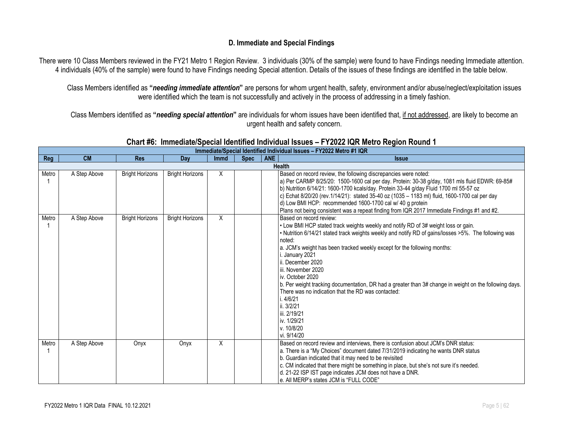#### **D. Immediate and Special Findings**

There were 10 Class Members reviewed in the FY21 Metro 1 Region Review. 3 individuals (30% of the sample) were found to have Findings needing Immediate attention. 4 individuals (40% of the sample) were found to have Findings needing Special attention. Details of the issues of these findings are identified in the table below.

Class Members identified as **"***needing immediate attention***"** are persons for whom urgent health, safety, environment and/or abuse/neglect/exploitation issues were identified which the team is not successfully and actively in the process of addressing in a timely fashion.

Class Members identified as **"***needing special attention***"** are individuals for whom issues have been identified that, if not addressed, are likely to become an urgent health and safety concern.

|       |              |                        |                        |             |             |            | Immediate/Special Identified Individual Issues - FY2022 Metro #1 IQR                                                                                                                                                                                                                                                                                                                                                                                                                                                                                                                                                                                |
|-------|--------------|------------------------|------------------------|-------------|-------------|------------|-----------------------------------------------------------------------------------------------------------------------------------------------------------------------------------------------------------------------------------------------------------------------------------------------------------------------------------------------------------------------------------------------------------------------------------------------------------------------------------------------------------------------------------------------------------------------------------------------------------------------------------------------------|
| Reg   | <b>CM</b>    | <b>Res</b>             | Day                    | <b>Immd</b> | <b>Spec</b> | <b>ANE</b> | <b>Issue</b>                                                                                                                                                                                                                                                                                                                                                                                                                                                                                                                                                                                                                                        |
|       |              |                        |                        |             |             |            | <b>Health</b>                                                                                                                                                                                                                                                                                                                                                                                                                                                                                                                                                                                                                                       |
| Metro | A Step Above | <b>Bright Horizons</b> | <b>Bright Horizons</b> | X           |             |            | Based on record review, the following discrepancies were noted:<br>a) Per CARMP 8/25/20: 1500-1600 cal per day. Protein: 30-38 g/day, 1081 mls fluid EDWR: 69-85#<br>b) Nutrition 6/14/21: 1600-1700 kcals/day. Protein 33-44 g/day Fluid 1700 ml 55-57 oz<br>c) Echat 8/20/20 (rev.1/14/21): stated 35-40 oz (1035 - 1183 ml) fluid, 1600-1700 cal per day<br>d) Low BMI HCP: recommended 1600-1700 cal w/ 40 g protein<br>Plans not being consistent was a repeat finding from IQR 2017 Immediate Findings #1 and #2.                                                                                                                             |
| Metro | A Step Above | <b>Bright Horizons</b> | <b>Bright Horizons</b> | X           |             |            | Based on record review:<br>. Low BMI HCP stated track weights weekly and notify RD of 3# weight loss or gain.<br>. Nutrition 6/14/21 stated track weights weekly and notify RD of gains/losses >5%. The following was<br>noted:<br>a. JCM's weight has been tracked weekly except for the following months:<br>i. January 2021<br>ii. December 2020<br>iii. November 2020<br>iv. October 2020<br>b. Per weight tracking documentation, DR had a greater than 3# change in weight on the following days.<br>There was no indication that the RD was contacted:<br>i.4/6/21<br>ii. 3/2/21<br>iii. 2/19/21<br>iv. 1/29/21<br>v. 10/8/20<br>vi. 9/14/20 |
| Metro | A Step Above | Onyx                   | Onyx                   | Χ           |             |            | Based on record review and interviews, there is confusion about JCM's DNR status:<br>a. There is a "My Choices" document dated 7/31/2019 indicating he wants DNR status<br>b. Guardian indicated that it may need to be revisited<br>c. CM indicated that there might be something in place, but she's not sure it's needed.<br>d. 21-22 ISP IST page indicates JCM does not have a DNR.<br>e. All MERP's states JCM is "FULL CODE"                                                                                                                                                                                                                 |

### **Chart #6: Immediate/Special Identified Individual Issues – FY2022 IQR Metro Region Round 1**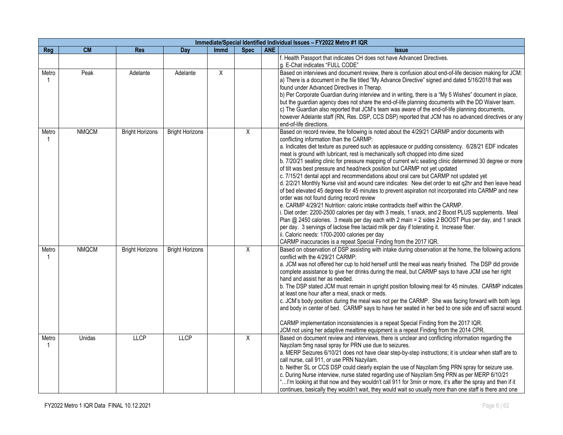|             | Immediate/Special Identified Individual Issues - FY2022 Metro #1 IQR |                        |                        |             |                |            |                                                                                                                                                                                                                                                                                                                                                                                                                                                                                                                                                                                                                                                                                                                                                                                                                                                                                                                                                                                                                                                                                                                                                                                                                                                                                                                                                                                                         |  |  |  |  |
|-------------|----------------------------------------------------------------------|------------------------|------------------------|-------------|----------------|------------|---------------------------------------------------------------------------------------------------------------------------------------------------------------------------------------------------------------------------------------------------------------------------------------------------------------------------------------------------------------------------------------------------------------------------------------------------------------------------------------------------------------------------------------------------------------------------------------------------------------------------------------------------------------------------------------------------------------------------------------------------------------------------------------------------------------------------------------------------------------------------------------------------------------------------------------------------------------------------------------------------------------------------------------------------------------------------------------------------------------------------------------------------------------------------------------------------------------------------------------------------------------------------------------------------------------------------------------------------------------------------------------------------------|--|--|--|--|
| Reg         | <b>CM</b>                                                            | <b>Res</b>             | Day                    | <b>Immd</b> | <b>Spec</b>    | <b>ANE</b> | <b>Issue</b>                                                                                                                                                                                                                                                                                                                                                                                                                                                                                                                                                                                                                                                                                                                                                                                                                                                                                                                                                                                                                                                                                                                                                                                                                                                                                                                                                                                            |  |  |  |  |
|             |                                                                      |                        |                        |             |                |            | f. Health Passport that indicates CH does not have Advanced Directives.<br>g. E-Chat indicates "FULL CODE"                                                                                                                                                                                                                                                                                                                                                                                                                                                                                                                                                                                                                                                                                                                                                                                                                                                                                                                                                                                                                                                                                                                                                                                                                                                                                              |  |  |  |  |
| Metro       | Peak                                                                 | Adelante               | Adelante               | X           |                |            | Based on interviews and document review, there is confusion about end-of-life decision making for JCM:<br>a) There is a document in the file titled "My Advance Directive" signed and dated 5/16/2018 that was<br>found under Advanced Directives in Therap.<br>b) Per Corporate Guardian during interview and in writing, there is a "My 5 Wishes" document in place,<br>but the guardian agency does not share the end-of-life planning documents with the DD Waiver team.<br>c) The Guardian also reported that JCM's team was aware of the end-of-life planning documents,<br>however Adelante staff (RN, Res. DSP, CCS DSP) reported that JCM has no advanced directives or any<br>end-of-life directions.                                                                                                                                                                                                                                                                                                                                                                                                                                                                                                                                                                                                                                                                                         |  |  |  |  |
| Metro       | <b>NMQCM</b>                                                         | <b>Bright Horizons</b> | <b>Bright Horizons</b> |             | $\overline{X}$ |            | Based on record review, the following is noted about the 4/29/21 CARMP and/or documents with<br>conflicting information than the CARMP:<br>a. Indicates diet texture as pureed such as applesauce or pudding consistency. 6/28/21 EDF indicates<br>meat is ground with lubricant, rest is mechanically soft chopped into dime sized<br>b. 7/20/21 seating clinic for pressure mapping of current w/c seating clinic determined 30 degree or more<br>of tilt was best pressure and head/neck position but CARMP not yet updated<br>c. 7/15/21 dental appt and recommendations about oral care but CARMP not updated yet<br>d. 2/2/21 Monthly Nurse visit and wound care indicates: New diet order to eat q2hr and then leave head<br>of bed elevated 45 degrees for 45 minutes to prevent aspiration not incorporated into CARMP and new<br>order was not found during record review<br>e. CARMP 4/29/21 Nutrition: caloric intake contradicts itself within the CARMP.<br>i. Diet order: 2200-2500 calories per day with 3 meals, 1 snack, and 2 Boost PLUS supplements. Meal<br>Plan @ 2450 calories. 3 meals per day each with 2 main = 2 sides 2 BOOST Plus per day, and 1 snack<br>per day. 3 servings of lactose free lactaid milk per day if tolerating it. Increase fiber.<br>ii. Caloric needs: 1700-2000 calories per day<br>CARMP inaccuracies is a repeat Special Finding from the 2017 IQR. |  |  |  |  |
| Metro<br>-1 | <b>NMQCM</b>                                                         | <b>Bright Horizons</b> | <b>Bright Horizons</b> |             | $\overline{X}$ |            | Based on observation of DSP assisting with intake during observation at the home, the following actions<br>conflict with the 4/29/21 CARMP:<br>a. JCM was not offered her cup to hold herself until the meal was nearly finished. The DSP did provide<br>complete assistance to give her drinks during the meal, but CARMP says to have JCM use her right<br>hand and assist her as needed.<br>b. The DSP stated JCM must remain in upright position following meal for 45 minutes. CARMP indicates<br>at least one hour after a meal, snack or meds.<br>c. JCM's body position during the meal was not per the CARMP. She was facing forward with both legs<br>and body in center of bed. CARMP says to have her seated in her bed to one side and off sacral wound.<br>CARMP implementation inconsistencies is a repeat Special Finding from the 2017 IQR.<br>JCM not using her adaptive mealtime equipment is a repeat Finding from the 2014 CPR.                                                                                                                                                                                                                                                                                                                                                                                                                                                    |  |  |  |  |
| Metro       | Unidas                                                               | <b>LLCP</b>            | <b>LLCP</b>            |             | $\overline{X}$ |            | Based on document review and interviews, there is unclear and conflicting information regarding the<br>Nayzilam 5mg nasal spray for PRN use due to seizures.<br>a. MERP Seizures 6/10/21 does not have clear step-by-step instructions; it is unclear when staff are to<br>call nurse, call 911, or use PRN Nazyilam.<br>b. Neither SL or CCS DSP could clearly explain the use of Nayzilam 5mg PRN spray for seizure use.<br>c. During Nurse interview, nurse stated regarding use of Nayzilam 5mg PRN as per MERP 6/10/21<br>" I'm looking at that now and they wouldn't call 911 for 3min or more, it's after the spray and then if it<br>continues, basically they wouldn't wait, they would wait so usually more than one staff is there and one                                                                                                                                                                                                                                                                                                                                                                                                                                                                                                                                                                                                                                                   |  |  |  |  |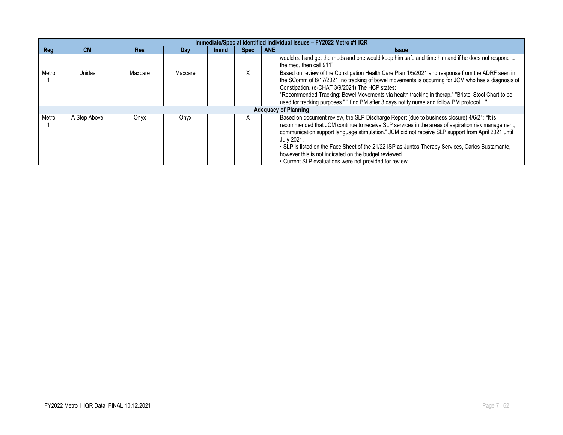|       | Immediate/Special Identified Individual Issues - FY2022 Metro #1 IQR |            |         |             |             |       |                                                                                                                                                                                                                                                                                                                                                                                                                                                                                                                                               |  |  |  |  |
|-------|----------------------------------------------------------------------|------------|---------|-------------|-------------|-------|-----------------------------------------------------------------------------------------------------------------------------------------------------------------------------------------------------------------------------------------------------------------------------------------------------------------------------------------------------------------------------------------------------------------------------------------------------------------------------------------------------------------------------------------------|--|--|--|--|
| Reg   | <b>CM</b>                                                            | <b>Res</b> | Day     | <b>Immd</b> | <b>Spec</b> | ANE I | <b>Issue</b>                                                                                                                                                                                                                                                                                                                                                                                                                                                                                                                                  |  |  |  |  |
|       |                                                                      |            |         |             |             |       | would call and get the meds and one would keep him safe and time him and if he does not respond to<br>the med. then call 911".                                                                                                                                                                                                                                                                                                                                                                                                                |  |  |  |  |
| Metro | Unidas                                                               | Maxcare    | Maxcare |             | X           |       | Based on review of the Constipation Health Care Plan 1/5/2021 and response from the ADRF seen in<br>the SComm of 8/17/2021, no tracking of bowel movements is occurring for JCM who has a diagnosis of<br>Constipation. (e-CHAT 3/9/2021) The HCP states:<br>"Recommended Tracking: Bowel Movements via health tracking in therap." "Bristol Stool Chart to be<br>lused for tracking purposes." "If no BM after 3 days notify nurse and follow BM protocol"                                                                                   |  |  |  |  |
|       |                                                                      |            |         |             |             |       | <b>Adequacy of Planning</b>                                                                                                                                                                                                                                                                                                                                                                                                                                                                                                                   |  |  |  |  |
| Metro | A Step Above                                                         | Onyx       | Onyx    |             |             |       | Based on document review, the SLP Discharge Report (due to business closure) 4/6/21: "It is<br>recommended that JCM continue to receive SLP services in the areas of aspiration risk management,<br>communication support language stimulation." JCM did not receive SLP support from April 2021 until<br>July 2021.<br>. SLP is listed on the Face Sheet of the 21/22 ISP as Juntos Therapy Services, Carlos Bustamante,<br>however this is not indicated on the budget reviewed.<br>• Current SLP evaluations were not provided for review. |  |  |  |  |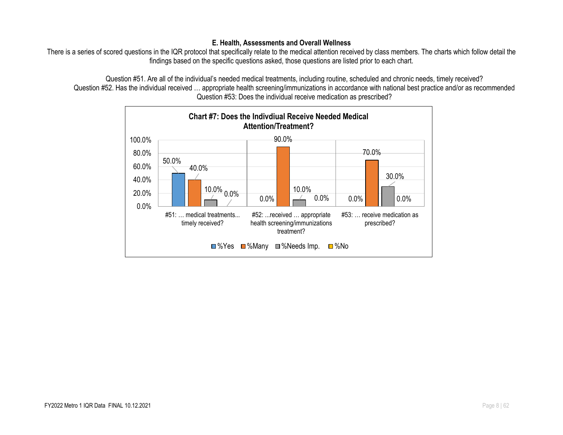#### **E. Health, Assessments and Overall Wellness**

There is a series of scored questions in the IQR protocol that specifically relate to the medical attention received by class members. The charts which follow detail the findings based on the specific questions asked, those questions are listed prior to each chart.

Question #51. Are all of the individual's needed medical treatments, including routine, scheduled and chronic needs, timely received? Question #52. Has the individual received … appropriate health screening/immunizations in accordance with national best practice and/or as recommended Question #53: Does the individual receive medication as prescribed?

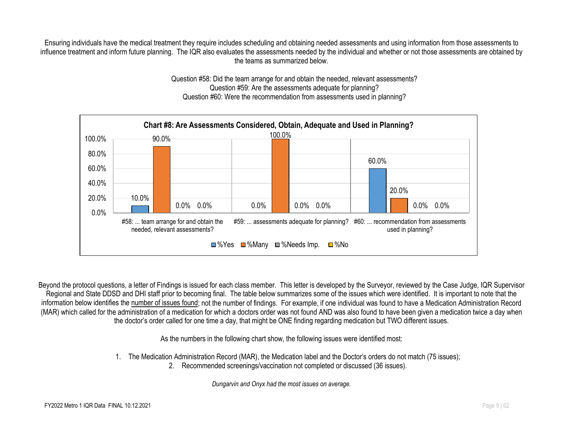Ensuring individuals have the medical treatment they require includes scheduling and obtaining needed assessments and using information from those assessments to influence treatment and inform future planning. The IQR also evaluates the assessments needed by the individual and whether or not those assessments are obtained by the teams as summarized below.

> Question #58: Did the team arrange for and obtain the needed, relevant assessments? Question #59: Are the assessments adequate for planning? Question #60: Were the recommendation from assessments used in planning?



Beyond the protocol questions, a letter of Findings is issued for each class member. This letter is developed by the Surveyor, reviewed by the Case Judge, IQR Supervisor Regional and State DDSD and DHI staff prior to becoming final. The table below summarizes some of the issues which were identified. It is important to note that the information below identifies the number of issues found; not the number of findings. For example, if one individual was found to have a Medication Administration Record (MAR) which called for the administration of a medication for which a doctors order was not found AND was also found to have been given a medication twice a day when the doctor's order called for one time a day, that might be ONE finding regarding medication but TWO different issues.

As the numbers in the following chart show, the following issues were identified most:

- 1. The Medication Administration Record (MAR), the Medication label and the Doctor's orders do not match (75 issues);
	- 2. Recommended screenings/vaccination not completed or discussed (36 issues).

*Dungarvin and Onyx had the most issues on average.*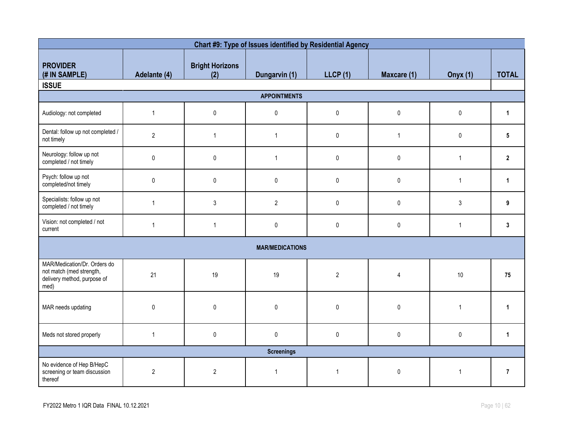| Chart #9: Type of Issues identified by Residential Agency                                       |                |                               |                        |                |                |                 |                |  |  |
|-------------------------------------------------------------------------------------------------|----------------|-------------------------------|------------------------|----------------|----------------|-----------------|----------------|--|--|
| <b>PROVIDER</b><br>(# IN SAMPLE)<br><b>ISSUE</b>                                                | Adelante (4)   | <b>Bright Horizons</b><br>(2) | Dungarvin (1)          | LLCP(1)        | Maxcare (1)    | <b>Onyx (1)</b> | <b>TOTAL</b>   |  |  |
| <b>APPOINTMENTS</b>                                                                             |                |                               |                        |                |                |                 |                |  |  |
| Audiology: not completed                                                                        | $\overline{1}$ | $\pmb{0}$                     | $\pmb{0}$              | $\mathbf 0$    | $\pmb{0}$      | $\mathbf 0$     | $\mathbf{1}$   |  |  |
| Dental: follow up not completed /<br>not timely                                                 | $\overline{2}$ | $\mathbf{1}$                  | $\mathbf{1}$           | $\pmb{0}$      | $\mathbf{1}$   | $\pmb{0}$       | 5              |  |  |
| Neurology: follow up not<br>completed / not timely                                              | 0              | $\pmb{0}$                     | $\mathbf{1}$           | $\pmb{0}$      | $\pmb{0}$      | $\mathbf{1}$    | $\mathbf{2}$   |  |  |
| Psych: follow up not<br>completed/not timely                                                    | 0              | $\pmb{0}$                     | $\pmb{0}$              | $\pmb{0}$      | $\pmb{0}$      | $\overline{1}$  | $\mathbf{1}$   |  |  |
| Specialists: follow up not<br>completed / not timely                                            | $\overline{1}$ | $\mathsf{3}$                  | $\overline{2}$         | $\pmb{0}$      | $\pmb{0}$      | 3               | 9              |  |  |
| Vision: not completed / not<br>current                                                          | $\overline{1}$ | $\mathbf{1}$                  | 0                      | 0              | $\pmb{0}$      | $\overline{1}$  | 3              |  |  |
|                                                                                                 |                |                               | <b>MAR/MEDICATIONS</b> |                |                |                 |                |  |  |
| MAR/Medication/Dr. Orders do<br>not match (med strength,<br>delivery method, purpose of<br>med) | 21             | 19                            | 19                     | $\overline{2}$ | $\overline{4}$ | 10              | 75             |  |  |
| MAR needs updating                                                                              | $\pmb{0}$      | $\pmb{0}$                     | $\pmb{0}$              | $\pmb{0}$      | $\pmb{0}$      | $\overline{1}$  | $\mathbf{1}$   |  |  |
| Meds not stored properly                                                                        | $\overline{1}$ | $\pmb{0}$                     | $\pmb{0}$              | $\pmb{0}$      | $\pmb{0}$      | $\pmb{0}$       | $\mathbf{1}$   |  |  |
|                                                                                                 |                |                               | <b>Screenings</b>      |                |                |                 |                |  |  |
| No evidence of Hep B/HepC<br>screening or team discussion<br>thereof                            | $\overline{2}$ | $\sqrt{2}$                    | $\mathbf 1$            | $\overline{1}$ | $\pmb{0}$      | $\overline{1}$  | $\overline{7}$ |  |  |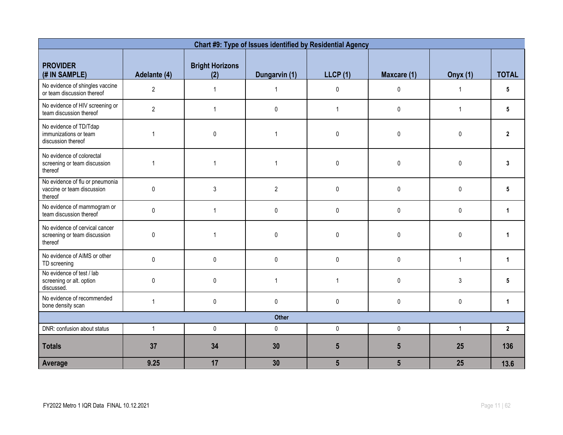|                                                                           |                |                               | Chart #9: Type of Issues identified by Residential Agency |                 |                |                 |                |  |
|---------------------------------------------------------------------------|----------------|-------------------------------|-----------------------------------------------------------|-----------------|----------------|-----------------|----------------|--|
| <b>PROVIDER</b><br>(# IN SAMPLE)                                          | Adelante (4)   | <b>Bright Horizons</b><br>(2) | Dungarvin (1)                                             | <b>LLCP (1)</b> | Maxcare (1)    | <b>Onyx (1)</b> | <b>TOTAL</b>   |  |
| No evidence of shingles vaccine<br>or team discussion thereof             | $\overline{2}$ | $\mathbf{1}$                  | $\mathbf{1}$                                              | 0               | 0              | $\mathbf{1}$    | 5              |  |
| No evidence of HIV screening or<br>team discussion thereof                | $\overline{2}$ | $\mathbf{1}$                  | $\pmb{0}$                                                 | $\mathbf{1}$    | $\pmb{0}$      | $\mathbf{1}$    | 5              |  |
| No evidence of TD/Tdap<br>immunizations or team<br>discussion thereof     | $\overline{1}$ | $\mathbf{0}$                  | $\overline{1}$                                            | $\mathbf 0$     | 0              | $\mathbf{0}$    | $\overline{2}$ |  |
| No evidence of colorectal<br>screening or team discussion<br>thereof      | $\overline{1}$ | $\mathbf{1}$                  | $\overline{1}$                                            | 0               | 0              | $\pmb{0}$       | 3              |  |
| No evidence of flu or pneumonia<br>vaccine or team discussion<br>thereof  | $\mathbf 0$    | $\sqrt{3}$                    | $\sqrt{2}$                                                | 0               | $\pmb{0}$      | 0               | 5              |  |
| No evidence of mammogram or<br>team discussion thereof                    | $\mathbf{0}$   | $\mathbf{1}$                  | 0                                                         | $\mathbf 0$     | 0              | $\mathbf{0}$    | $\mathbf{1}$   |  |
| No evidence of cervical cancer<br>screening or team discussion<br>thereof | $\Omega$       | $\overline{1}$                | $\pmb{0}$                                                 | $\mathbf{0}$    | $\mathbf{0}$   | $\mathbf{0}$    |                |  |
| No evidence of AIMS or other<br>TD screening                              | $\mathbf 0$    | $\mathbf 0$                   | $\pmb{0}$                                                 | 0               | $\pmb{0}$      | $\mathbf{1}$    | 1              |  |
| No evidence of test / lab<br>screening or alt. option<br>discussed.       | $\mathbf{0}$   | $\mathbf{0}$                  | $\overline{1}$                                            | $\mathbf{1}$    | $\mathbf{0}$   | 3               | 5              |  |
| No evidence of recommended<br>bone density scan                           | $\overline{1}$ | 0                             | $\pmb{0}$                                                 | 0               | $\pmb{0}$      | 0               | $\mathbf{1}$   |  |
| <b>Other</b>                                                              |                |                               |                                                           |                 |                |                 |                |  |
| DNR: confusion about status                                               | $\mathbf{1}$   | $\pmb{0}$                     | $\pmb{0}$                                                 | $\pmb{0}$       | 0              | $\mathbf{1}$    | $\mathbf{2}$   |  |
| <b>Totals</b>                                                             | 37             | 34                            | 30                                                        | $5\phantom{.0}$ | $5\phantom{1}$ | 25              | 136            |  |
| Average                                                                   | 9.25           | 17                            | 30                                                        | $5\phantom{.0}$ | $5\phantom{1}$ | 25              | 13.6           |  |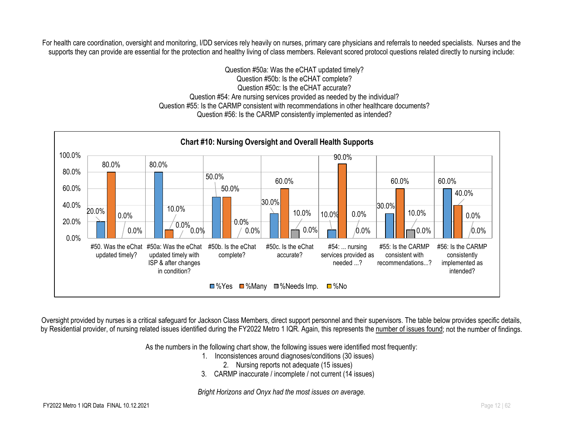For health care coordination, oversight and monitoring, I/DD services rely heavily on nurses, primary care physicians and referrals to needed specialists. Nurses and the supports they can provide are essential for the protection and healthy living of class members. Relevant scored protocol questions related directly to nursing include:

> Question #50a: Was the eCHAT updated timely? Question #50b: Is the eCHAT complete? Question #50c: Is the eCHAT accurate? Question #54: Are nursing services provided as needed by the individual? Question #55: Is the CARMP consistent with recommendations in other healthcare documents? Question #56: Is the CARMP consistently implemented as intended?



Oversight provided by nurses is a critical safeguard for Jackson Class Members, direct support personnel and their supervisors. The table below provides specific details, by Residential provider, of nursing related issues identified during the FY2022 Metro 1 IQR. Again, this represents the number of issues found; not the number of findings.

As the numbers in the following chart show, the following issues were identified most frequently:

- 1. Inconsistences around diagnoses/conditions (30 issues)
	- 2. Nursing reports not adequate (15 issues)
- 3. CARMP inaccurate / incomplete / not current (14 issues)

*Bright Horizons and Onyx had the most issues on average.*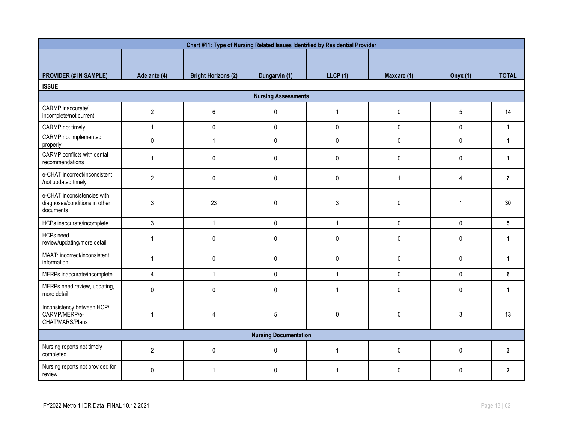|                                                                           |                |                            | Chart #11: Type of Nursing Related Issues Identified by Residential Provider |                |              |              |                |  |  |
|---------------------------------------------------------------------------|----------------|----------------------------|------------------------------------------------------------------------------|----------------|--------------|--------------|----------------|--|--|
|                                                                           |                |                            |                                                                              |                |              |              |                |  |  |
| <b>PROVIDER (# IN SAMPLE)</b>                                             | Adelante (4)   | <b>Bright Horizons (2)</b> | Dungarvin (1)                                                                | LLCP(1)        | Maxcare (1)  | Onyx $(1)$   | <b>TOTAL</b>   |  |  |
| <b>ISSUE</b>                                                              |                |                            |                                                                              |                |              |              |                |  |  |
| <b>Nursing Assessments</b>                                                |                |                            |                                                                              |                |              |              |                |  |  |
| CARMP inaccurate/<br>incomplete/not current                               | $\overline{2}$ | 6                          | $\pmb{0}$                                                                    | $\mathbf{1}$   | $\pmb{0}$    | 5            | 14             |  |  |
| CARMP not timely                                                          | $\mathbf{1}$   | $\pmb{0}$                  | $\pmb{0}$                                                                    | $\pmb{0}$      | $\mathbf 0$  | $\pmb{0}$    | $\mathbf{1}$   |  |  |
| CARMP not implemented<br>properly                                         | $\pmb{0}$      | $\mathbf{1}$               | $\pmb{0}$                                                                    | 0              | $\pmb{0}$    | 0            | $\mathbf{1}$   |  |  |
| CARMP conflicts with dental<br>recommendations                            | $\mathbf{1}$   | 0                          | $\pmb{0}$                                                                    | $\mathbf 0$    | 0            | 0            | $\mathbf{1}$   |  |  |
| e-CHAT incorrect/inconsistent<br>/not updated timely                      | $\overline{2}$ | 0                          | $\pmb{0}$                                                                    | 0              | $\mathbf{1}$ | 4            | $\overline{7}$ |  |  |
| e-CHAT inconsistencies with<br>diagnoses/conditions in other<br>documents | 3              | 23                         | $\pmb{0}$                                                                    | 3              | 0            | $\mathbf{1}$ | 30             |  |  |
| HCPs inaccurate/incomplete                                                | $\mathfrak{Z}$ | $\mathbf{1}$               | $\pmb{0}$                                                                    | $\mathbf{1}$   | $\mathbf 0$  | $\mathbf 0$  | $5^{\circ}$    |  |  |
| HCPs need<br>review/updating/more detail                                  | $\mathbf{1}$   | $\pmb{0}$                  | $\pmb{0}$                                                                    | $\mathbf 0$    | 0            | $\pmb{0}$    | 1              |  |  |
| MAAT: incorrect/inconsistent<br>information                               | $\mathbf{1}$   | $\pmb{0}$                  | $\pmb{0}$                                                                    | $\mathbf 0$    | 0            | 0            | $\mathbf{1}$   |  |  |
| MERPs inaccurate/incomplete                                               | $\overline{4}$ | $\mathbf{1}$               | $\pmb{0}$                                                                    | $\mathbf{1}$   | $\mathbf 0$  | 0            | 6              |  |  |
| MERPs need review, updating,<br>more detail                               | 0              | 0                          | $\mathbf 0$                                                                  | $\overline{1}$ | 0            | $\pmb{0}$    | 1              |  |  |
| Inconsistency between HCP/<br>CARMP/MERP/e-<br>CHAT/MARS/Plans            | 1              | 4                          | 5                                                                            | 0              | $\mathbf{0}$ | 3            | 13             |  |  |
| <b>Nursing Documentation</b>                                              |                |                            |                                                                              |                |              |              |                |  |  |
| Nursing reports not timely<br>completed                                   | $\overline{2}$ | $\mathsf{O}$               | $\pmb{0}$                                                                    | $\overline{1}$ | $\mathbf 0$  | $\mathbf{0}$ | $\mathbf{3}$   |  |  |
| Nursing reports not provided for<br>review                                | 0              | 1                          | $\mathbf{0}$                                                                 |                | $\mathbf{0}$ | $\Omega$     | $\mathbf{2}$   |  |  |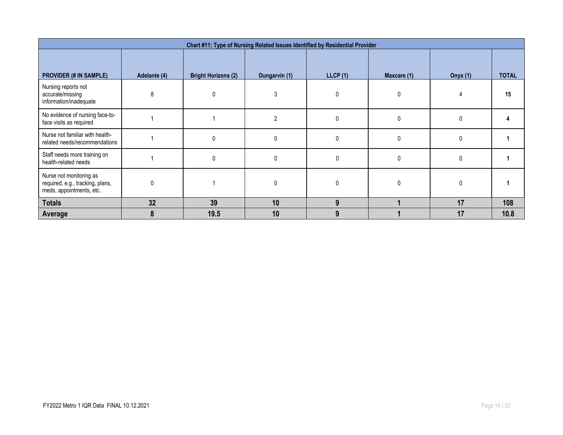| Chart #11: Type of Nursing Related Issues Identified by Residential Provider            |              |                            |                |          |              |                 |              |  |  |
|-----------------------------------------------------------------------------------------|--------------|----------------------------|----------------|----------|--------------|-----------------|--------------|--|--|
| <b>PROVIDER (# IN SAMPLE)</b>                                                           | Adelante (4) | <b>Bright Horizons (2)</b> | Dungarvin (1)  | LLCP(1)  | Maxcare (1)  | <b>Onyx</b> (1) | <b>TOTAL</b> |  |  |
| Nursing reports not<br>accurate/missing<br>information/inadequate                       | 8            |                            |                |          | $\Omega$     |                 | 15           |  |  |
| No evidence of nursing face-to-<br>face visits as required                              |              |                            | $\mathfrak{p}$ |          | $\mathbf{0}$ | $\Omega$        |              |  |  |
| Nurse not familiar with health-<br>related needs/recommendations                        |              | $\Omega$                   | 0              | $\Omega$ | $\mathbf{0}$ | $\mathbf{0}$    |              |  |  |
| Staff needs more training on<br>health-related needs                                    |              | 0                          | 0              | $\Omega$ | 0            | $\mathbf{0}$    |              |  |  |
| Nurse not monitoring as<br>required, e.g., tracking, plans,<br>meds, appointments, etc. | $\mathbf 0$  |                            |                |          | $\Omega$     | 0               |              |  |  |
| <b>Totals</b>                                                                           | 32           | 39                         | 10             | 9        |              | 17              | 108          |  |  |
| Average                                                                                 | 8            | 19.5                       | 10             | 9        |              | 17              | 10.8         |  |  |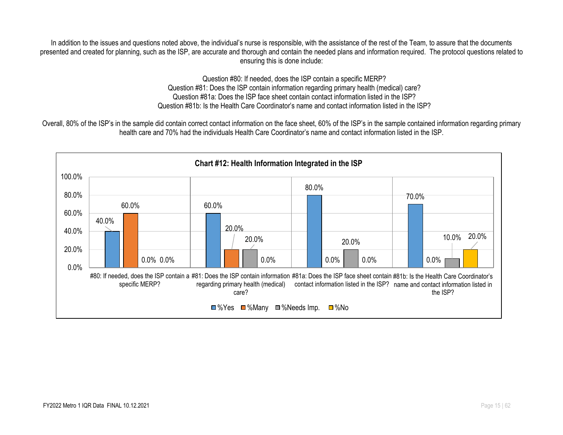In addition to the issues and questions noted above, the individual's nurse is responsible, with the assistance of the rest of the Team, to assure that the documents presented and created for planning, such as the ISP, are accurate and thorough and contain the needed plans and information required. The protocol questions related to ensuring this is done include:

> Question #80: If needed, does the ISP contain a specific MERP? Question #81: Does the ISP contain information regarding primary health (medical) care? Question #81a: Does the ISP face sheet contain contact information listed in the ISP? Question #81b: Is the Health Care Coordinator's name and contact information listed in the ISP?

Overall, 80% of the ISP's in the sample did contain correct contact information on the face sheet, 60% of the ISP's in the sample contained information regarding primary health care and 70% had the individuals Health Care Coordinator's name and contact information listed in the ISP.

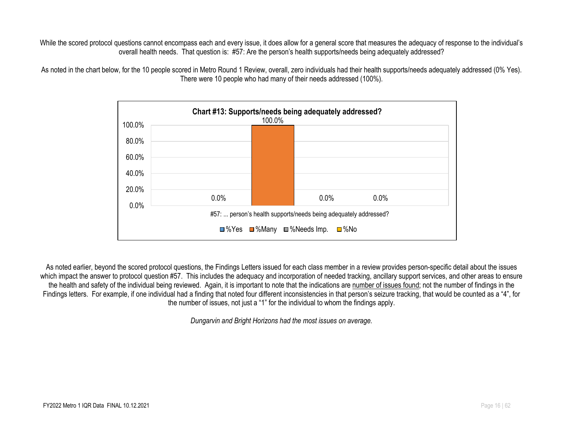While the scored protocol questions cannot encompass each and every issue, it does allow for a general score that measures the adequacy of response to the individual's overall health needs. That question is: #57: Are the person's health supports/needs being adequately addressed?





As noted earlier, beyond the scored protocol questions, the Findings Letters issued for each class member in a review provides person-specific detail about the issues which impact the answer to protocol question #57. This includes the adequacy and incorporation of needed tracking, ancillary support services, and other areas to ensure the health and safety of the individual being reviewed. Again, it is important to note that the indications are number of issues found; not the number of findings in the Findings letters. For example, if one individual had a finding that noted four different inconsistencies in that person's seizure tracking, that would be counted as a "4", for the number of issues, not just a "1" for the individual to whom the findings apply.

*Dungarvin and Bright Horizons had the most issues on average.*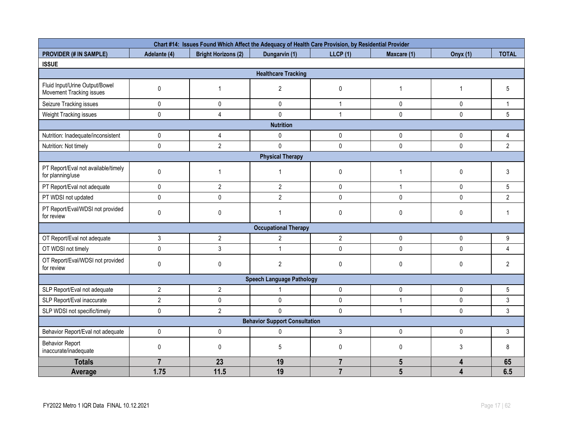|                                                            |                            | Chart #14: Issues Found Which Affect the Adequacy of Health Care Provision, by Residential Provider |                                      |                |                 |                 |                |  |  |  |
|------------------------------------------------------------|----------------------------|-----------------------------------------------------------------------------------------------------|--------------------------------------|----------------|-----------------|-----------------|----------------|--|--|--|
| <b>PROVIDER (# IN SAMPLE)</b>                              | Adelante (4)               | <b>Bright Horizons (2)</b>                                                                          | Dungarvin (1)                        | LLCP(1)        | Maxcare (1)     | <b>Onyx</b> (1) | <b>TOTAL</b>   |  |  |  |
| <b>ISSUE</b>                                               |                            |                                                                                                     |                                      |                |                 |                 |                |  |  |  |
|                                                            | <b>Healthcare Tracking</b> |                                                                                                     |                                      |                |                 |                 |                |  |  |  |
| Fluid Input/Urine Output/Bowel<br>Movement Tracking issues | $\pmb{0}$                  | 1                                                                                                   | $\overline{2}$                       | $\pmb{0}$      | $\mathbf{1}$    | -1              | 5              |  |  |  |
| Seizure Tracking issues                                    | $\pmb{0}$                  | $\pmb{0}$                                                                                           | 0                                    | $\mathbf{1}$   | $\pmb{0}$       | $\pmb{0}$       | $\mathbf{1}$   |  |  |  |
| Weight Tracking issues                                     | $\pmb{0}$                  | 4                                                                                                   | $\Omega$                             | $\mathbf{1}$   | $\mathbf 0$     | $\mathbf{0}$    | 5              |  |  |  |
|                                                            |                            |                                                                                                     | <b>Nutrition</b>                     |                |                 |                 |                |  |  |  |
| Nutrition: Inadequate/inconsistent                         | $\mathbf 0$                | 4                                                                                                   | 0                                    | $\pmb{0}$      | $\pmb{0}$       | 0               | 4              |  |  |  |
| Nutrition: Not timely                                      | $\pmb{0}$                  | $\overline{2}$                                                                                      | $\mathbf 0$                          | $\mathbf 0$    | $\mathbf 0$     | 0               | $\overline{2}$ |  |  |  |
|                                                            |                            |                                                                                                     | <b>Physical Therapy</b>              |                |                 |                 |                |  |  |  |
| PT Report/Eval not available/timely<br>for planning/use    | $\pmb{0}$                  | 1                                                                                                   | $\mathbf{1}$                         | $\pmb{0}$      | 1               | 0               | 3              |  |  |  |
| PT Report/Eval not adequate                                | $\mathbf{0}$               | $\overline{2}$                                                                                      | $\overline{2}$                       | $\mathsf{O}$   | $\mathbf{1}$    | $\mathbf{0}$    | 5              |  |  |  |
| PT WDSI not updated                                        | $\pmb{0}$                  | $\pmb{0}$                                                                                           | $\overline{2}$                       | $\pmb{0}$      | $\pmb{0}$       | 0               | $\overline{2}$ |  |  |  |
| PT Report/Eval/WDSI not provided<br>for review             | $\pmb{0}$                  | $\mathbf 0$                                                                                         | $\mathbf{1}$                         | $\pmb{0}$      | $\mathbf{0}$    | 0               | $\mathbf 1$    |  |  |  |
|                                                            |                            |                                                                                                     | <b>Occupational Therapy</b>          |                |                 |                 |                |  |  |  |
| OT Report/Eval not adequate                                | $\sqrt{3}$                 | $\sqrt{2}$                                                                                          | $\overline{2}$                       | $\overline{2}$ | $\pmb{0}$       | $\pmb{0}$       | 9              |  |  |  |
| OT WDSI not timely                                         | $\pmb{0}$                  | 3                                                                                                   | $\mathbf{1}$                         | $\pmb{0}$      | $\mathbf 0$     | $\mathbf 0$     | 4              |  |  |  |
| OT Report/Eval/WDSI not provided<br>for review             | $\pmb{0}$                  | $\pmb{0}$                                                                                           | $\overline{2}$                       | $\pmb{0}$      | $\mathbf 0$     | 0               | $\overline{c}$ |  |  |  |
|                                                            |                            |                                                                                                     | <b>Speech Language Pathology</b>     |                |                 |                 |                |  |  |  |
| SLP Report/Eval not adequate                               | $\overline{2}$             | $\overline{2}$                                                                                      | 1                                    | $\pmb{0}$      | $\mathbf 0$     | 0               | 5              |  |  |  |
| SLP Report/Eval inaccurate                                 | $\overline{2}$             | $\pmb{0}$                                                                                           | $\pmb{0}$                            | $\pmb{0}$      | $\mathbf{1}$    | 0               | 3              |  |  |  |
| SLP WDSI not specific/timely                               | $\pmb{0}$                  | $\overline{2}$                                                                                      | $\Omega$                             | $\pmb{0}$      | $\mathbf{1}$    | $\mathbf 0$     | 3              |  |  |  |
|                                                            |                            |                                                                                                     | <b>Behavior Support Consultation</b> |                |                 |                 |                |  |  |  |
| Behavior Report/Eval not adequate                          | $\pmb{0}$                  | $\pmb{0}$                                                                                           | $\mathbf{0}$                         | $\mathfrak{Z}$ | 0               | $\mathbf 0$     | 3              |  |  |  |
| <b>Behavior Report</b><br>inaccurate/inadequate            | $\pmb{0}$                  | $\mathbf 0$                                                                                         | $5\phantom{.0}$                      | $\pmb{0}$      | $\mathbf 0$     | 3               | 8              |  |  |  |
| <b>Totals</b>                                              | $\overline{7}$             | 23                                                                                                  | 19                                   | $\overline{7}$ | $5\phantom{.0}$ | 4               | 65             |  |  |  |
| Average                                                    | 1.75                       | 11.5                                                                                                | 19                                   | $\overline{7}$ | $5\overline{5}$ | 4               | 6.5            |  |  |  |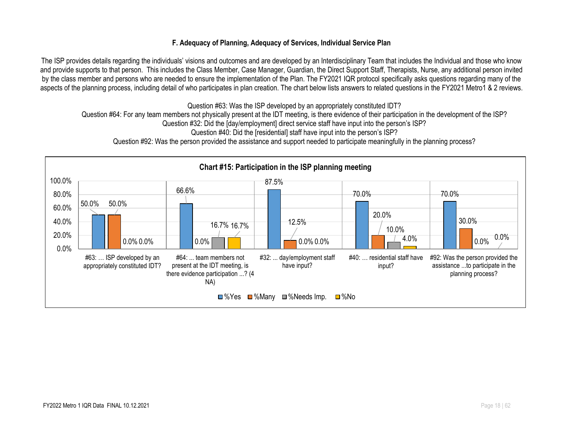#### **F. Adequacy of Planning, Adequacy of Services, Individual Service Plan**

The ISP provides details regarding the individuals' visions and outcomes and are developed by an Interdisciplinary Team that includes the Individual and those who know and provide supports to that person. This includes the Class Member, Case Manager, Guardian, the Direct Support Staff, Therapists, Nurse, any additional person invited by the class member and persons who are needed to ensure the implementation of the Plan. The FY2021 IQR protocol specifically asks questions regarding many of the aspects of the planning process, including detail of who participates in plan creation. The chart below lists answers to related questions in the FY2021 Metro1 & 2 reviews.

Question #63: Was the ISP developed by an appropriately constituted IDT? Question #64: For any team members not physically present at the IDT meeting, is there evidence of their participation in the development of the ISP? Question #32: Did the [day/employment] direct service staff have input into the person's ISP?

Question #40: Did the [residential] staff have input into the person's ISP?

Question #92: Was the person provided the assistance and support needed to participate meaningfully in the planning process?

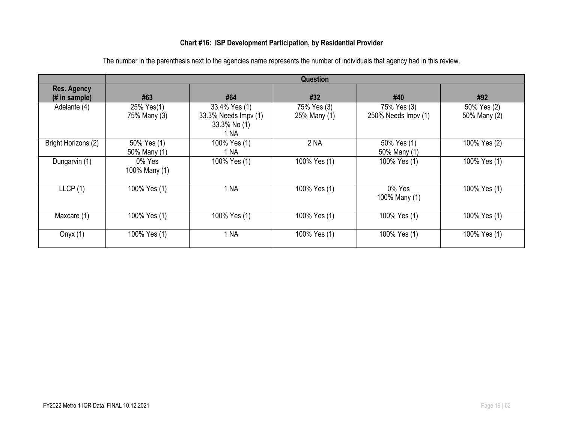### **Chart #16: ISP Development Participation, by Residential Provider**

|                                     |                             |                                                               | <b>Question</b>             |                                    |                             |
|-------------------------------------|-----------------------------|---------------------------------------------------------------|-----------------------------|------------------------------------|-----------------------------|
| <b>Res. Agency</b><br>(# in sample) | #63                         | #64                                                           | #32                         | #40                                | #92                         |
| Adelante (4)                        | 25% Yes(1)<br>75% Many (3)  | 33.4% Yes (1)<br>33.3% Needs Impv (1)<br>33.3% No (1)<br>1 NA | 75% Yes (3)<br>25% Many (1) | 75% Yes (3)<br>250% Needs Impv (1) | 50% Yes (2)<br>50% Many (2) |
| Bright Horizons (2)                 | 50% Yes (1)<br>50% Many (1) | 100% Yes (1)<br>1 NA                                          | 2 <sub>NA</sub>             | 50% Yes (1)<br>50% Many (1)        | 100% Yes (2)                |
| Dungarvin (1)                       | 0% Yes<br>100% Many (1)     | 100% Yes (1)                                                  | 100% Yes (1)                | 100% Yes (1)                       | 100% Yes (1)                |
| LLCP(1)                             | 100% Yes (1)                | 1 NA                                                          | 100% Yes (1)                | 0% Yes<br>100% Many (1)            | 100% Yes (1)                |
| Maxcare (1)                         | 100% Yes (1)                | 100% Yes (1)                                                  | 100% Yes (1)                | 100% Yes (1)                       | 100% Yes (1)                |
| Onyx $(1)$                          | 100% Yes (1)                | 1 NA                                                          | 100% Yes (1)                | 100% Yes (1)                       | 100% Yes (1)                |

The number in the parenthesis next to the agencies name represents the number of individuals that agency had in this review.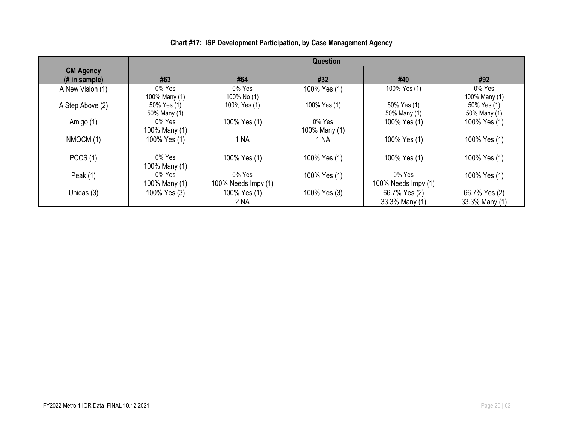|                                                     |                             |                               | Question                |                                 |                                 |
|-----------------------------------------------------|-----------------------------|-------------------------------|-------------------------|---------------------------------|---------------------------------|
| <b>CM Agency</b><br>$(H \in \mathbb{R})$ in sample) | #63                         | #64                           | #32                     | #40                             | #92                             |
| A New Vision (1)                                    | 0% Yes<br>100% Many (1)     | 0% Yes<br>100% No (1)         | 100% Yes (1)            | 100% Yes (1)                    | $0\%$ Yes<br>100% Many (1)      |
| A Step Above (2)                                    | 50% Yes (1)<br>50% Many (1) | 100% Yes (1)                  | 100% Yes (1)            | 50% Yes (1)<br>50% Many (1)     | 50% Yes (1)<br>50% Many (1)     |
| Amigo (1)                                           | 0% Yes<br>100% Many (1)     | 100% Yes (1)                  | 0% Yes<br>100% Many (1) | 100% Yes (1)                    | 100% Yes (1)                    |
| NMQCM (1)                                           | 100% Yes (1)                | 1 NA                          | 1 NA                    | 100% Yes (1)                    | 100% Yes (1)                    |
| PCCS(1)                                             | 0% Yes<br>100% Many (1)     | 100% Yes (1)                  | 100% Yes (1)            | 100% Yes (1)                    | 100% Yes (1)                    |
| Peak $(1)$                                          | 0% Yes<br>100% Many (1)     | 0% Yes<br>100% Needs Impv (1) | 100% Yes (1)            | 0% Yes<br>100% Needs $Impv(1)$  | 100% Yes (1)                    |
| Unidas (3)                                          | 100% Yes (3)                | 100% Yes (1)<br>2 NA          | 100% Yes (3)            | 66.7% Yes (2)<br>33.3% Many (1) | 66.7% Yes (2)<br>33.3% Many (1) |

# **Chart #17: ISP Development Participation, by Case Management Agency**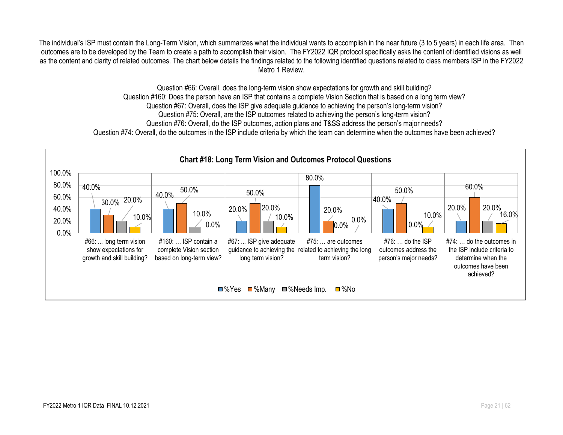The individual's ISP must contain the Long-Term Vision, which summarizes what the individual wants to accomplish in the near future (3 to 5 years) in each life area. Then outcomes are to be developed by the Team to create a path to accomplish their vision. The FY2022 IQR protocol specifically asks the content of identified visions as well as the content and clarity of related outcomes. The chart below details the findings related to the following identified questions related to class members ISP in the FY2022 Metro 1 Review.

> Question #66: Overall, does the long-term vision show expectations for growth and skill building? Question #160: Does the person have an ISP that contains a complete Vision Section that is based on a long term view? Question #67: Overall, does the ISP give adequate guidance to achieving the person's long-term vision? Question #75: Overall, are the ISP outcomes related to achieving the person's long-term vision? Question #76: Overall, do the ISP outcomes, action plans and T&SS address the person's major needs?

Question #74: Overall, do the outcomes in the ISP include criteria by which the team can determine when the outcomes have been achieved?

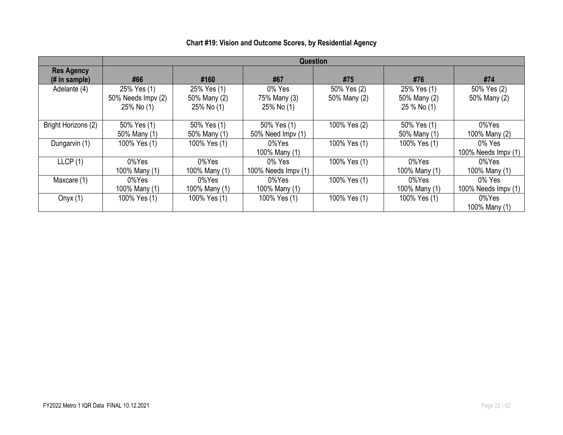|                                     | <b>Question</b>                  |                            |                            |              |                             |                     |  |
|-------------------------------------|----------------------------------|----------------------------|----------------------------|--------------|-----------------------------|---------------------|--|
| <b>Res Agency</b><br>$#$ in sample) | #66                              | #160                       | #67                        | #75          | #76                         | #74                 |  |
| Adelante (4)                        | 25% Yes (1)                      | 25% Yes (1)                | 0% Yes                     | 50% Yes (2)  | 25% Yes (1)                 | 50% Yes (2)         |  |
|                                     | 50% Needs Impv (2)<br>25% No (1) | 50% Many (2)<br>25% No (1) | 75% Many (3)<br>25% No (1) | 50% Many (2) | 50% Many (2)<br>25 % No (1) | 50% Many (2)        |  |
| Bright Horizons (2)                 | 50% Yes (1)                      | 50% Yes (1)                | 50% Yes (1)                | 100% Yes (2) | 50% Yes (1)                 | 0%Yes               |  |
|                                     | 50% Many (1)                     | 50% Many (1)               | 50% Need Impv (1)          |              | 50% Many (1)                | 100% Many (2)       |  |
| Dungarvin (1)                       | 100% Yes (1)                     | 100% Yes (1)               | 0%Yes                      | 100% Yes (1) | 100% Yes (1)                | 0% Yes              |  |
|                                     |                                  |                            | 100% Many (1)              |              |                             | 100% Needs Impv (1) |  |
| LLCP(1)                             | 0%Yes                            | 0%Yes                      | 0% Yes                     | 100% Yes (1) | 0%Yes                       | 0%Yes               |  |
|                                     | 100% Many (1)                    | 100% Many (1)              | 100% Needs Impv (1)        |              | 100% Many (1)               | 100% Many (1)       |  |
| Maxcare (1)                         | 0%Yes                            | 0%Yes                      | 0%Yes                      | 100% Yes (1) | 0%Yes                       | 0% Yes              |  |
|                                     | 100% Many (1)                    | 100% Many (1)              | 100% Many (1)              |              | 100% Many (1)               | 100% Needs Impv (1) |  |
| Onyx $(1)$                          | 100% Yes (1)                     | 100% Yes (1)               | 100% Yes (1)               | 100% Yes (1) | 100% Yes (1)                | 0%Yes               |  |
|                                     |                                  |                            |                            |              |                             | 100% Many (1)       |  |

### **Chart #19: Vision and Outcome Scores, by Residential Agency**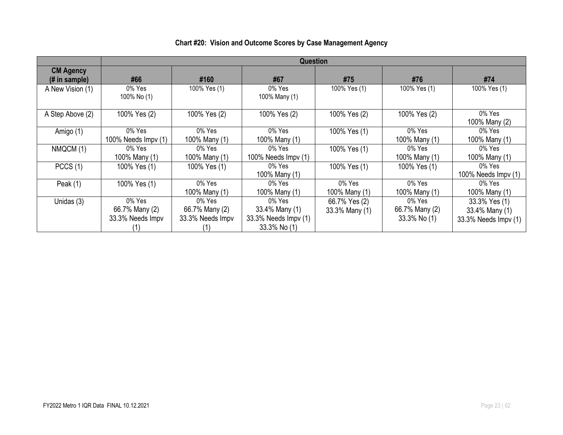|                                                     | <b>Question</b>                                 |                                              |                                                                  |                                 |                                          |                                                         |  |  |
|-----------------------------------------------------|-------------------------------------------------|----------------------------------------------|------------------------------------------------------------------|---------------------------------|------------------------------------------|---------------------------------------------------------|--|--|
| <b>CM Agency</b><br>$(H \in \mathbb{R})$ in sample) | #66                                             | #160                                         | #67                                                              | #75                             | #76                                      | #74                                                     |  |  |
| A New Vision (1)                                    | 0% Yes<br>100% No (1)                           | 100% Yes (1)                                 | 0% Yes<br>100% Many (1)                                          | 100% Yes (1)                    | 100% Yes (1)                             | 100% Yes (1)                                            |  |  |
| A Step Above (2)                                    | 100% Yes (2)                                    | 100% Yes (2)                                 | 100% Yes (2)                                                     | 100% Yes (2)                    | 100% Yes (2)                             | 0% Yes<br>100% Many (2)                                 |  |  |
| Amigo (1)                                           | 0% Yes<br>100% Needs $Impv(1)$                  | 0% Yes<br>100% Many (1)                      | 0% Yes<br>100% Many (1)                                          | 100% Yes (1)                    | 0% Yes<br>100% Many (1)                  | 0% Yes<br>100% Many (1)                                 |  |  |
| NMQCM (1)                                           | $0\%$ Yes<br>100% Many (1)                      | 0% Yes<br>100% Many (1)                      | 0% Yes<br>100% Needs Impv (1)                                    | 100% Yes (1)                    | 0% Yes<br>100% Many (1)                  | 0% Yes<br>100% Many (1)                                 |  |  |
| PCCS(1)                                             | 100% Yes (1)                                    | 100% Yes (1)                                 | 0% Yes<br>100% Many (1)                                          | 100% Yes (1)                    | 100% Yes (1)                             | 0% Yes<br>100% Needs Impv (1)                           |  |  |
| Peak $(1)$                                          | 100% Yes (1)                                    | 0% Yes<br>100% Many (1)                      | 0% Yes<br>100% Many (1)                                          | 0% Yes<br>100% Many (1)         | 0% Yes<br>100% Many (1)                  | 0% Yes<br>100% Many (1)                                 |  |  |
| Unidas (3)                                          | $0\%$ Yes<br>66.7% Many (2)<br>33.3% Needs Impv | 0% Yes<br>66.7% Many (2)<br>33.3% Needs Impv | 0% Yes<br>33.4% Many (1)<br>33.3% Needs Impv (1)<br>33.3% No (1) | 66.7% Yes (2)<br>33.3% Many (1) | 0% Yes<br>66.7% Many (2)<br>33.3% No (1) | 33.3% Yes (1)<br>33.4% Many (1)<br>33.3% Needs Impv (1) |  |  |

# **Chart #20: Vision and Outcome Scores by Case Management Agency**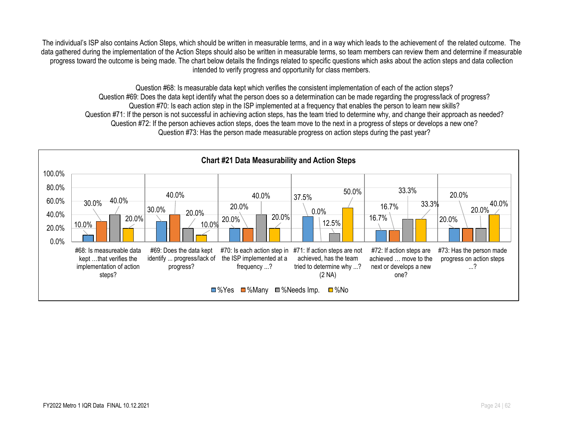The individual's ISP also contains Action Steps, which should be written in measurable terms, and in a way which leads to the achievement of the related outcome. The data gathered during the implementation of the Action Steps should also be written in measurable terms, so team members can review them and determine if measurable progress toward the outcome is being made. The chart below details the findings related to specific questions which asks about the action steps and data collection intended to verify progress and opportunity for class members.

Question #68: Is measurable data kept which verifies the consistent implementation of each of the action steps? Question #69: Does the data kept identify what the person does so a determination can be made regarding the progress/lack of progress? Question #70: Is each action step in the ISP implemented at a frequency that enables the person to learn new skills? Question #71: If the person is not successful in achieving action steps, has the team tried to determine why, and change their approach as needed? Question #72: If the person achieves action steps, does the team move to the next in a progress of steps or develops a new one? Question #73: Has the person made measurable progress on action steps during the past year?

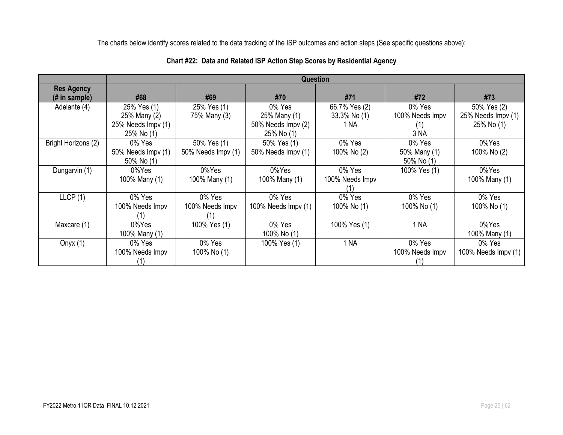The charts below identify scores related to the data tracking of the ISP outcomes and action steps (See specific questions above):

|                                    | <b>Question</b>                                                 |                                   |                                                            |                                       |                                          |                                                 |  |  |
|------------------------------------|-----------------------------------------------------------------|-----------------------------------|------------------------------------------------------------|---------------------------------------|------------------------------------------|-------------------------------------------------|--|--|
| <b>Res Agency</b><br>(# in sample) | #68                                                             | #69                               | #70                                                        | #71                                   | #72                                      | #73                                             |  |  |
| Adelante (4)                       | 25% Yes (1)<br>25% Many (2)<br>25% Needs Impv (1)<br>25% No (1) | 25% Yes (1)<br>75% Many (3)       | 0% Yes<br>25% Many (1)<br>50% Needs Impv (2)<br>25% No (1) | 66.7% Yes (2)<br>33.3% No (1)<br>1 NA | 0% Yes<br>100% Needs Impv<br>(1)<br>3 NA | 50% Yes (2)<br>25% Needs Impv (1)<br>25% No (1) |  |  |
| Bright Horizons (2)                | 0% Yes<br>50% Needs Impv (1)<br>50% No (1)                      | 50% Yes (1)<br>50% Needs Impv (1) | 50% Yes (1)<br>50% Needs Impv (1)                          | 0% Yes<br>100% No (2)                 | 0% Yes<br>50% Many (1)<br>50% No (1)     | 0%Yes<br>100% No (2)                            |  |  |
| Dungarvin (1)                      | 0%Yes<br>100% Many (1)                                          | 0%Yes<br>100% Many (1)            | 0%Yes<br>100% Many (1)                                     | 0% Yes<br>100% Needs Impv             | 100% Yes (1)                             | 0%Yes<br>100% Many (1)                          |  |  |
| LLCP(1)                            | 0% Yes<br>100% Needs Impv                                       | 0% Yes<br>100% Needs Impv         | 0% Yes<br>100% Needs Impv (1)                              | 0% Yes<br>100% No (1)                 | 0% Yes<br>100% No (1)                    | 0% Yes<br>100% No (1)                           |  |  |
| Maxcare (1)                        | 0%Yes<br>100% Many (1)                                          | 100% Yes (1)                      | 0% Yes<br>100% No (1)                                      | 100% Yes (1)                          | 1 NA                                     | 0%Yes<br>100% Many (1)                          |  |  |
| Onyx $(1)$                         | 0% Yes<br>100% Needs Impv                                       | 0% Yes<br>100% No (1)             | 100% Yes (1)                                               | 1 <sub>NA</sub>                       | 0% Yes<br>100% Needs Impv                | 0% Yes<br>100% Needs Impv (1)                   |  |  |

### **Chart #22: Data and Related ISP Action Step Scores by Residential Agency**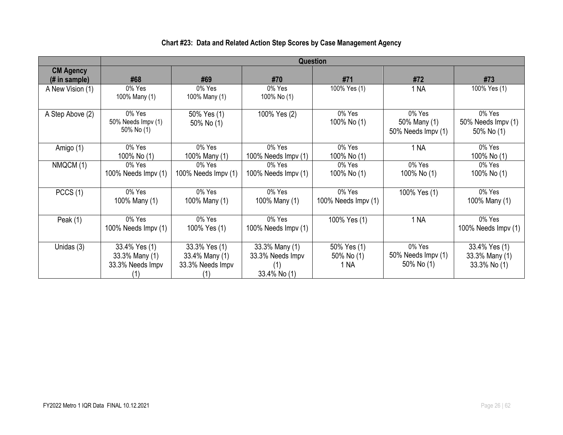|                                    |                                                            |                                                            |                                                           | Question                          |                                              |                                                 |
|------------------------------------|------------------------------------------------------------|------------------------------------------------------------|-----------------------------------------------------------|-----------------------------------|----------------------------------------------|-------------------------------------------------|
| <b>CM Agency</b><br>$#$ in sample) | #68                                                        | #69                                                        | #70                                                       | #71                               | #72                                          | #73                                             |
| A New Vision (1)                   | 0% Yes<br>100% Many (1)                                    | 0% Yes<br>100% Many (1)                                    | 0% Yes<br>100% No (1)                                     | 100% Yes (1)                      | 1 NA                                         | 100% Yes (1)                                    |
| A Step Above (2)                   | 0% Yes<br>50% Needs Impv (1)<br>50% No (1)                 | 50% Yes (1)<br>50% No (1)                                  | 100% Yes (2)                                              | 0% Yes<br>100% No (1)             | 0% Yes<br>50% Many (1)<br>50% Needs Impv (1) | 0% Yes<br>50% Needs Impv (1)<br>50% No (1)      |
| Amigo (1)                          | 0% Yes<br>100% No (1)                                      | 0% Yes<br>100% Many (1)                                    | 0% Yes<br>100% Needs Impv (1)                             | 0% Yes<br>100% No (1)             | 1 NA                                         | 0% Yes<br>100% No (1)                           |
| NMQCM (1)                          | 0% Yes<br>100% Needs Impv (1)                              | 0% Yes<br>100% Needs Impv (1)                              | $0\%$ Yes<br>100% Needs Impv (1)                          | 0% Yes<br>100% No (1)             | 0% Yes<br>100% No (1)                        | 0% Yes<br>100% No (1)                           |
| PCCS(1)                            | 0% Yes<br>100% Many (1)                                    | 0% Yes<br>100% Many (1)                                    | 0% Yes<br>100% Many (1)                                   | 0% Yes<br>100% Needs Impv (1)     | 100% Yes (1)                                 | 0% Yes<br>100% Many (1)                         |
| Peak $(1)$                         | 0% Yes<br>100% Needs Impv (1)                              | 0% Yes<br>100% Yes (1)                                     | 0% Yes<br>100% Needs Impv (1)                             | 100% Yes (1)                      | 1 NA                                         | 0% Yes<br>100% Needs Impv (1)                   |
| Unidas (3)                         | 33.4% Yes (1)<br>33.3% Many (1)<br>33.3% Needs Impv<br>(1) | 33.3% Yes (1)<br>33.4% Many (1)<br>33.3% Needs Impv<br>(1) | 33.3% Many (1)<br>33.3% Needs Impv<br>(1)<br>33.4% No (1) | 50% Yes (1)<br>50% No (1)<br>1 NA | 0% Yes<br>50% Needs Impv (1)<br>50% No (1)   | 33.4% Yes (1)<br>33.3% Many (1)<br>33.3% No (1) |

# **Chart #23: Data and Related Action Step Scores by Case Management Agency**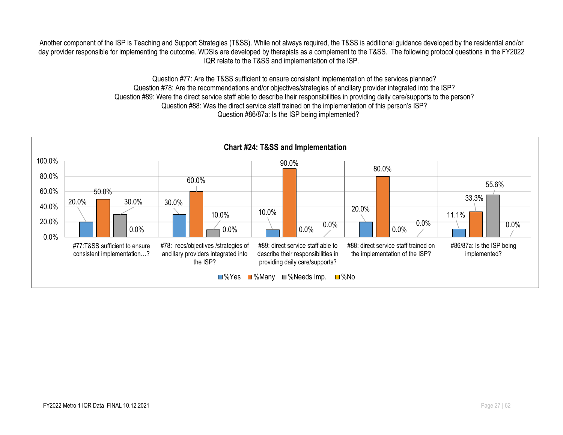Another component of the ISP is Teaching and Support Strategies (T&SS). While not always required, the T&SS is additional guidance developed by the residential and/or day provider responsible for implementing the outcome. WDSIs are developed by therapists as a complement to the T&SS. The following protocol questions in the FY2022 IQR relate to the T&SS and implementation of the ISP.

> Question #77: Are the T&SS sufficient to ensure consistent implementation of the services planned? Question #78: Are the recommendations and/or objectives/strategies of ancillary provider integrated into the ISP? Question #89: Were the direct service staff able to describe their responsibilities in providing daily care/supports to the person? Question #88: Was the direct service staff trained on the implementation of this person's ISP? Question #86/87a: Is the ISP being implemented?

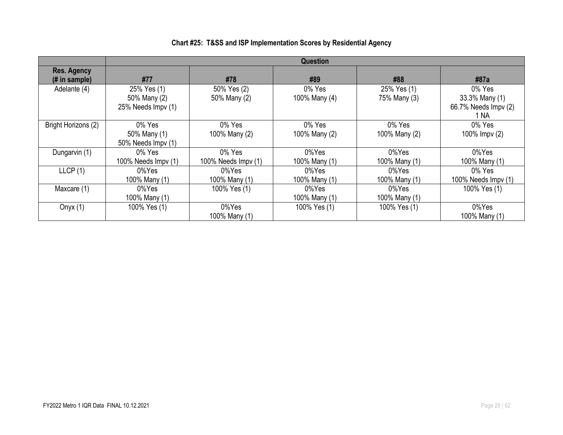|                                      | <b>Question</b>                                   |                               |                         |                             |                                                          |  |  |
|--------------------------------------|---------------------------------------------------|-------------------------------|-------------------------|-----------------------------|----------------------------------------------------------|--|--|
| <b>Res. Agency</b><br>$#$ in sample) | #77                                               | #78                           | #89                     | #88                         | #87a                                                     |  |  |
| Adelante (4)                         | 25% Yes (1)<br>50% Many (2)<br>25% Needs Impv (1) | 50% Yes (2)<br>50% Many (2)   | 0% Yes<br>100% Many (4) | 25% Yes (1)<br>75% Many (3) | 0% Yes<br>33.3% Many (1)<br>66.7% Needs Impv (2)<br>1 NA |  |  |
| Bright Horizons (2)                  | 0% Yes<br>50% Many (1)<br>50% Needs Impv (1)      | 0% Yes<br>100% Many (2)       | 0% Yes<br>100% Many (2) | 0% Yes<br>100% Many (2)     | 0% Yes<br>100% Impv (2)                                  |  |  |
| Dungarvin (1)                        | 0% Yes<br>100% Needs Impy (1)                     | 0% Yes<br>100% Needs Impv (1) | 0%Yes<br>100% Many (1)  | 0%Yes<br>100% Many (1)      | 0%Yes<br>100% Many (1)                                   |  |  |
| LLCP(1)                              | 0%Yes<br>100% Many (1)                            | 0%Yes<br>100% Many (1)        | 0%Yes<br>100% Many (1)  | 0%Yes<br>100% Many (1)      | 0% Yes<br>100% Needs $Impv(1)$                           |  |  |
| Maxcare (1)                          | 0%Yes<br>100% Many (1)                            | 100% Yes (1)                  | 0%Yes<br>100% Many (1)  | 0%Yes<br>100% Many (1)      | 100% Yes (1)                                             |  |  |
| Onyx $(1)$                           | 100% Yes (1)                                      | 0%Yes<br>100% Many (1)        | 100% Yes (1)            | 100% Yes (1)                | 0%Yes<br>100% Many (1)                                   |  |  |

# **Chart #25: T&SS and ISP Implementation Scores by Residential Agency**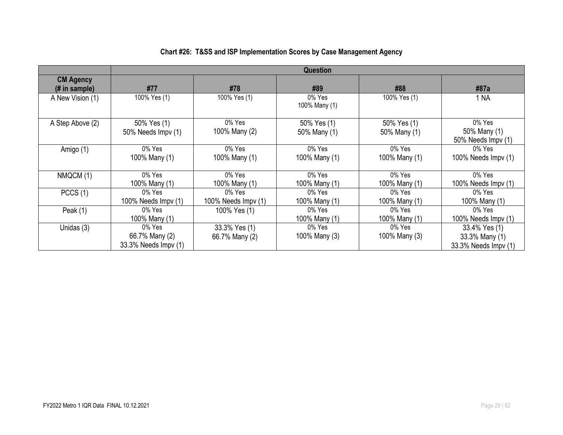|                                    | <b>Question</b>                                     |                                 |                             |                             |                                                         |  |  |  |
|------------------------------------|-----------------------------------------------------|---------------------------------|-----------------------------|-----------------------------|---------------------------------------------------------|--|--|--|
| <b>CM Agency</b><br>$#$ in sample) | #77                                                 | #78                             | #89                         | #88                         | #87a                                                    |  |  |  |
| A New Vision (1)                   | 100% Yes (1)                                        | 100% Yes (1)                    | 0% Yes<br>100% Many (1)     | 100% Yes (1)                | 1 NA                                                    |  |  |  |
| A Step Above (2)                   | 50% Yes (1)<br>50% Needs Impv (1)                   | 0% Yes<br>100% Many (2)         | 50% Yes (1)<br>50% Many (1) | 50% Yes (1)<br>50% Many (1) | 0% Yes<br>50% Many (1)<br>50% Needs Impv (1)            |  |  |  |
| Amigo (1)                          | $0\%$ Yes<br>100% Many (1)                          | 0% Yes<br>100% Many (1)         | 0% Yes<br>100% Many (1)     | $0\%$ Yes<br>100% Many (1)  | 0% Yes<br>100% Needs Impv (1)                           |  |  |  |
| NMQCM (1)                          | 0% Yes<br>100% Many (1)                             | 0% Yes<br>100% Many (1)         | 0% Yes<br>100% Many (1)     | 0% Yes<br>100% Many (1)     | 0% Yes<br>100% Needs Impv (1)                           |  |  |  |
| PCCS(1)                            | 0% Yes<br>100% Needs $Impv(1)$                      | 0% Yes<br>100% Needs Impv (1)   | 0% Yes<br>100% Many (1)     | 0% Yes<br>100% Many (1)     | 0% Yes<br>100% Many (1)                                 |  |  |  |
| Peak (1)                           | 0% Yes<br>100% Many (1)                             | 100% Yes (1)                    | 0% Yes<br>100% Many (1)     | 0% Yes<br>100% Many (1)     | 0% Yes<br>100% Needs Impv (1)                           |  |  |  |
| Unidas (3)                         | $0\%$ Yes<br>66.7% Many (2)<br>33.3% Needs Impv (1) | 33.3% Yes (1)<br>66.7% Many (2) | 0% Yes<br>100% Many (3)     | 0% Yes<br>100% Many (3)     | 33.4% Yes (1)<br>33.3% Many (1)<br>33.3% Needs Impv (1) |  |  |  |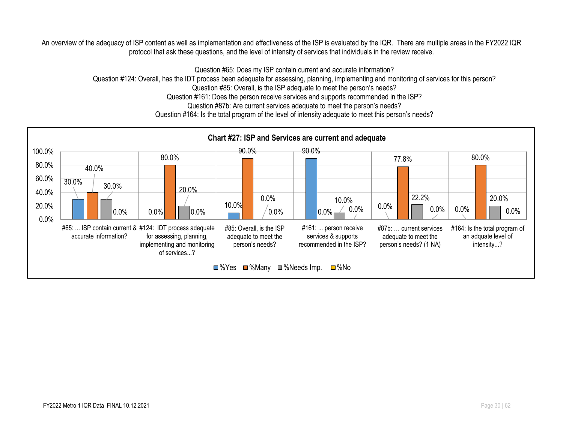An overview of the adequacy of ISP content as well as implementation and effectiveness of the ISP is evaluated by the IQR. There are multiple areas in the FY2022 IQR protocol that ask these questions, and the level of intensity of services that individuals in the review receive.

Question #65: Does my ISP contain current and accurate information?

Question #124: Overall, has the IDT process been adequate for assessing, planning, implementing and monitoring of services for this person?

Question #85: Overall, is the ISP adequate to meet the person's needs?

Question #161: Does the person receive services and supports recommended in the ISP?

Question #87b: Are current services adequate to meet the person's needs?

Question #164: Is the total program of the level of intensity adequate to meet this person's needs?

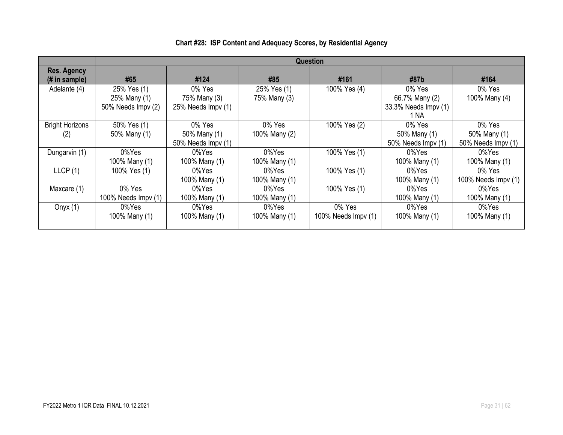|                                     | <b>Question</b>                                   |                                              |                             |                               |                                                          |                                              |
|-------------------------------------|---------------------------------------------------|----------------------------------------------|-----------------------------|-------------------------------|----------------------------------------------------------|----------------------------------------------|
| <b>Res. Agency</b><br>(# in sample) | #65                                               | #124                                         | #85                         | #161                          | #87b                                                     | #164                                         |
| Adelante (4)                        | 25% Yes (1)<br>25% Many (1)<br>50% Needs Impv (2) | 0% Yes<br>75% Many (3)<br>25% Needs Impy (1) | 25% Yes (1)<br>75% Many (3) | 100% Yes (4)                  | 0% Yes<br>66.7% Many (2)<br>33.3% Needs Impv (1)<br>1 NA | 0% Yes<br>100% Many (4)                      |
| <b>Bright Horizons</b><br>(2)       | 50% Yes (1)<br>50% Many (1)                       | 0% Yes<br>50% Many (1)<br>50% Needs Impv (1) | 0% Yes<br>100% Many (2)     | 100% Yes (2)                  | 0% Yes<br>50% Many (1)<br>50% Needs Impv (1)             | 0% Yes<br>50% Many (1)<br>50% Needs Impv (1) |
| Dungarvin (1)                       | 0%Yes<br>100% Many (1)                            | 0%Yes<br>100% Many (1)                       | 0%Yes<br>100% Many (1)      | 100% Yes (1)                  | 0%Yes<br>100% Many (1)                                   | 0%Yes<br>100% Many (1)                       |
| LLCP(1)                             | 100% Yes (1)                                      | 0%Yes<br>100% Many (1)                       | 0%Yes<br>100% Many (1)      | 100% Yes (1)                  | 0%Yes<br>100% Many (1)                                   | 0% Yes<br>100% Needs $Impv(1)$               |
| Maxcare (1)                         | 0% Yes<br>100% Needs Impv (1)                     | 0%Yes<br>100% Many (1)                       | 0%Yes<br>100% Many (1)      | 100% Yes (1)                  | 0%Yes<br>100% Many (1)                                   | 0%Yes<br>100% Many (1)                       |
| Onyx $(1)$                          | 0%Yes<br>100% Many (1)                            | 0%Yes<br>100% Many (1)                       | 0%Yes<br>100% Many (1)      | 0% Yes<br>100% Needs Impv (1) | 0%Yes<br>100% Many (1)                                   | 0%Yes<br>100% Many (1)                       |

# **Chart #28: ISP Content and Adequacy Scores, by Residential Agency**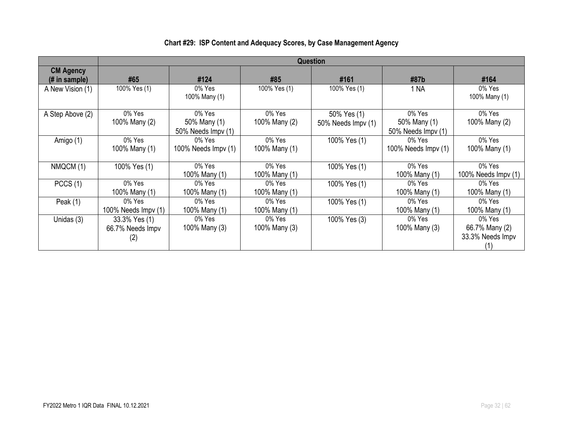|                                   | <b>Question</b>                          |                                              |                         |                                   |                                              |                                              |  |
|-----------------------------------|------------------------------------------|----------------------------------------------|-------------------------|-----------------------------------|----------------------------------------------|----------------------------------------------|--|
| <b>CM Agency</b><br>(# in sample) | #65                                      | #124                                         | #85                     | #161                              | #87b                                         | #164                                         |  |
| A New Vision (1)                  | 100% Yes (1)                             | 0% Yes<br>100% Many (1)                      | 100% Yes (1)            | 100% Yes (1)                      | 1 NA                                         | 0% Yes<br>100% Many (1)                      |  |
| A Step Above (2)                  | 0% Yes<br>100% Many (2)                  | 0% Yes<br>50% Many (1)<br>50% Needs Impv (1) | 0% Yes<br>100% Many (2) | 50% Yes (1)<br>50% Needs Impv (1) | 0% Yes<br>50% Many (1)<br>50% Needs Impv (1) | 0% Yes<br>100% Many (2)                      |  |
| Amigo (1)                         | 0% Yes<br>100% Many (1)                  | 0% Yes<br>100% Needs $\text{Impv}(1)$        | 0% Yes<br>100% Many (1) | 100% Yes (1)                      | 0% Yes<br>100% Needs Impv (1)                | 0% Yes<br>100% Many (1)                      |  |
| NMQCM (1)                         | 100% Yes (1)                             | 0% Yes<br>100% Many (1)                      | 0% Yes<br>100% Many (1) | 100% Yes (1)                      | 0% Yes<br>100% Many (1)                      | 0% Yes<br>100% Needs Impv (1)                |  |
| PCCS(1)                           | 0% Yes<br>100% Many (1)                  | 0% Yes<br>100% Many (1)                      | 0% Yes<br>100% Many (1) | 100% Yes (1)                      | 0% Yes<br>100% Many (1)                      | 0% Yes<br>100% Many (1)                      |  |
| Peak $(1)$                        | 0% Yes<br>100% Needs $\text{Impv}(1)$    | 0% Yes<br>100% Many (1)                      | 0% Yes<br>100% Many (1) | 100% Yes (1)                      | 0% Yes<br>100% Many (1)                      | 0% Yes<br>100% Many (1)                      |  |
| Unidas (3)                        | 33.3% Yes (1)<br>66.7% Needs Impv<br>(2) | 0% Yes<br>100% Many (3)                      | 0% Yes<br>100% Many (3) | 100% Yes (3)                      | 0% Yes<br>100% Many (3)                      | 0% Yes<br>66.7% Many (2)<br>33.3% Needs Impv |  |

# **Chart #29: ISP Content and Adequacy Scores, by Case Management Agency**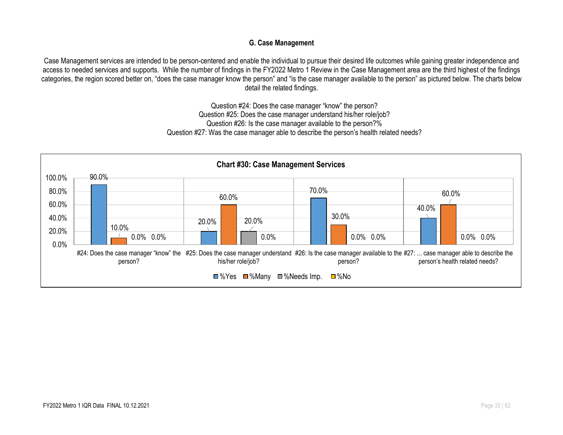### **G. Case Management**

Case Management services are intended to be person-centered and enable the individual to pursue their desired life outcomes while gaining greater independence and access to needed services and supports. While the number of findings in the FY2022 Metro 1 Review in the Case Management area are the third highest of the findings categories, the region scored better on, "does the case manager know the person" and "is the case manager available to the person" as pictured below. The charts below detail the related findings.

> Question #24: Does the case manager "know" the person? Question #25: Does the case manager understand his/her role/job? Question #26: Is the case manager available to the person?% Question #27: Was the case manager able to describe the person's health related needs?

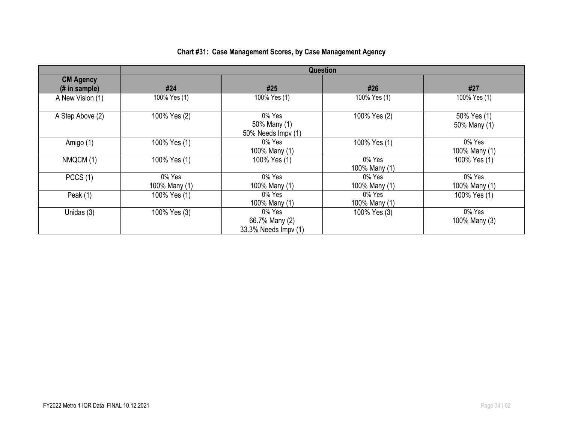|  | <b>Chart #31: Case Management Scores, by Case Management Agency</b> |
|--|---------------------------------------------------------------------|
|--|---------------------------------------------------------------------|

|                                    | <b>Question</b>         |                                                  |                         |                             |  |  |  |
|------------------------------------|-------------------------|--------------------------------------------------|-------------------------|-----------------------------|--|--|--|
| <b>CM Agency</b><br>$#$ in sample) | #24                     | #25                                              | #26                     | #27                         |  |  |  |
| A New Vision (1)                   | 100% Yes (1)            | 100% Yes (1)                                     | 100% Yes (1)            | 100% Yes (1)                |  |  |  |
| A Step Above (2)                   | 100% Yes (2)            | 0% Yes<br>50% Many (1)<br>50% Needs Impv (1)     | 100% Yes (2)            | 50% Yes (1)<br>50% Many (1) |  |  |  |
| Amigo (1)                          | 100% Yes (1)            | 0% Yes<br>100% Many (1)                          | 100% Yes (1)            | 0% Yes<br>100% Many (1)     |  |  |  |
| NMQCM (1)                          | 100% Yes (1)            | 100% Yes (1)                                     | 0% Yes<br>100% Many (1) | 100% Yes (1)                |  |  |  |
| PCCS(1)                            | 0% Yes<br>100% Many (1) | 0% Yes<br>100% Many (1)                          | 0% Yes<br>100% Many (1) | 0% Yes<br>100% Many (1)     |  |  |  |
| Peak $(1)$                         | 100% Yes (1)            | 0% Yes<br>100% Many (1)                          | 0% Yes<br>100% Many (1) | 100% Yes (1)                |  |  |  |
| Unidas (3)                         | 100% Yes (3)            | 0% Yes<br>66.7% Many (2)<br>33.3% Needs Impv (1) | 100% Yes (3)            | 0% Yes<br>100% Many (3)     |  |  |  |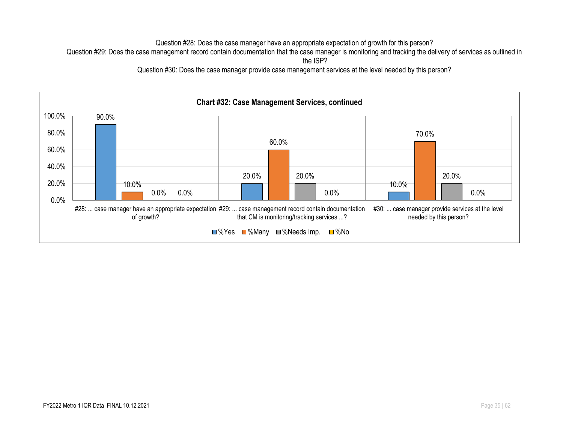Question #28: Does the case manager have an appropriate expectation of growth for this person?

Question #29: Does the case management record contain documentation that the case manager is monitoring and tracking the delivery of services as outlined in

Question #30: Does the case manager provide case management services at the level needed by this person?



the ISP?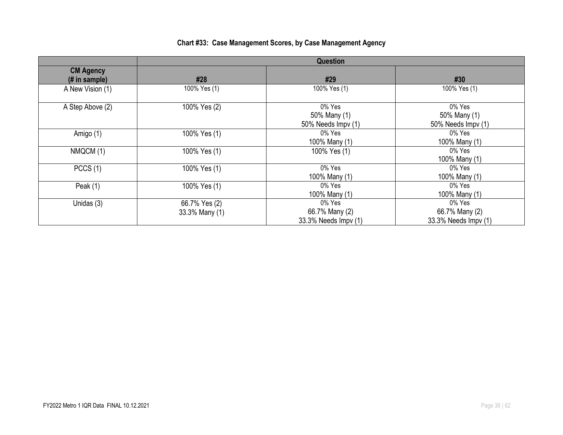|                                   |                                 | <b>Question</b>                                  |                                                  |
|-----------------------------------|---------------------------------|--------------------------------------------------|--------------------------------------------------|
| <b>CM Agency</b><br>(# in sample) | #28                             | #29                                              | #30                                              |
| A New Vision (1)                  | 100% Yes (1)                    | 100% Yes (1)                                     | 100% Yes (1)                                     |
| A Step Above (2)                  | 100% Yes (2)                    | 0% Yes<br>50% Many (1)<br>50% Needs Impv (1)     | 0% Yes<br>50% Many (1)<br>50% Needs Impv (1)     |
| Amigo (1)                         | 100% Yes (1)                    | 0% Yes<br>100% Many (1)                          | 0% Yes<br>100% Many (1)                          |
| NMQCM (1)                         | 100% Yes (1)                    | 100% Yes (1)                                     | 0% Yes<br>100% Many (1)                          |
| PCCS(1)                           | 100% Yes (1)                    | 0% Yes<br>100% Many (1)                          | 0% Yes<br>100% Many (1)                          |
| Peak $(1)$                        | 100% Yes (1)                    | 0% Yes<br>100% Many (1)                          | 0% Yes<br>100% Many (1)                          |
| Unidas (3)                        | 66.7% Yes (2)<br>33.3% Many (1) | 0% Yes<br>66.7% Many (2)<br>33.3% Needs Impv (1) | 0% Yes<br>66.7% Many (2)<br>33.3% Needs Impv (1) |

# **Chart #33: Case Management Scores, by Case Management Agency**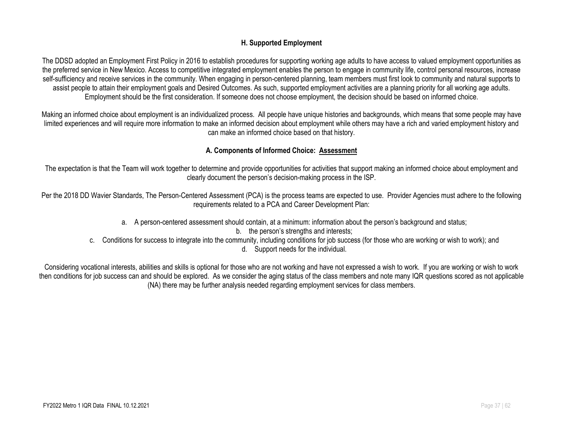#### **H. Supported Employment**

The DDSD adopted an Employment First Policy in 2016 to establish procedures for supporting working age adults to have access to valued employment opportunities as the preferred service in New Mexico. Access to competitive integrated employment enables the person to engage in community life, control personal resources, increase self-sufficiency and receive services in the community. When engaging in person-centered planning, team members must first look to community and natural supports to assist people to attain their employment goals and Desired Outcomes. As such, supported employment activities are a planning priority for all working age adults. Employment should be the first consideration. If someone does not choose employment, the decision should be based on informed choice.

Making an informed choice about employment is an individualized process. All people have unique histories and backgrounds, which means that some people may have limited experiences and will require more information to make an informed decision about employment while others may have a rich and varied employment history and can make an informed choice based on that history.

#### **A. Components of Informed Choice: Assessment**

The expectation is that the Team will work together to determine and provide opportunities for activities that support making an informed choice about employment and clearly document the person's decision-making process in the ISP.

Per the 2018 DD Wavier Standards, The Person-Centered Assessment (PCA) is the process teams are expected to use. Provider Agencies must adhere to the following requirements related to a PCA and Career Development Plan:

- a. A person-centered assessment should contain, at a minimum: information about the person's background and status;
	- b. the person's strengths and interests:
- c. Conditions for success to integrate into the community, including conditions for job success (for those who are working or wish to work); and
	- d. Support needs for the individual.

Considering vocational interests, abilities and skills is optional for those who are not working and have not expressed a wish to work. If you are working or wish to work then conditions for job success can and should be explored. As we consider the aging status of the class members and note many IQR questions scored as not applicable (NA) there may be further analysis needed regarding employment services for class members.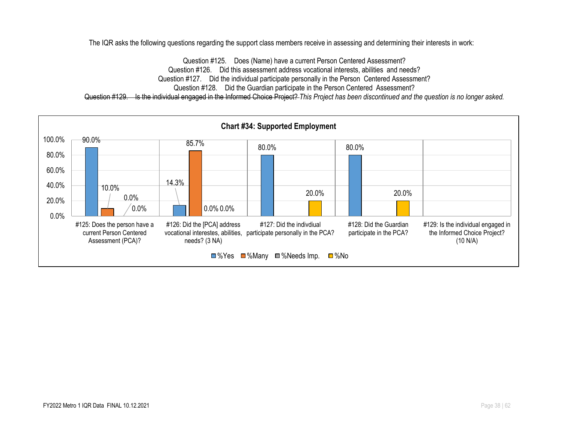The IQR asks the following questions regarding the support class members receive in assessing and determining their interests in work:

Question #125. Does (Name) have a current Person Centered Assessment? Question #126. Did this assessment address vocational interests, abilities and needs? Question #127. Did the individual participate personally in the Person Centered Assessment? Question #128. Did the Guardian participate in the Person Centered Assessment? Question #129. Is the individual engaged in the Informed Choice Project? *This Project has been discontinued and the question is no longer asked.*

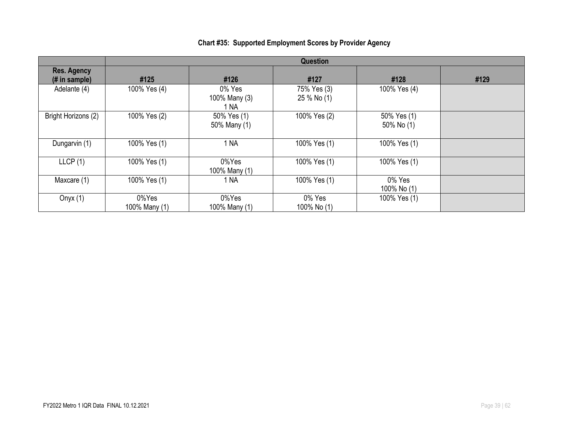|                                       | <b>Question</b>        |                                 |                            |                           |      |  |  |  |  |
|---------------------------------------|------------------------|---------------------------------|----------------------------|---------------------------|------|--|--|--|--|
| <b>Res. Agency</b><br>$(H$ in sample) | #125                   | #126                            | #127                       | #128                      | #129 |  |  |  |  |
| Adelante (4)                          | 100% Yes (4)           | 0% Yes<br>100% Many (3)<br>1 NA | 75% Yes (3)<br>25 % No (1) | 100% Yes (4)              |      |  |  |  |  |
| Bright Horizons (2)                   | 100% Yes (2)           | 50% Yes (1)<br>50% Many (1)     | 100% Yes (2)               | 50% Yes (1)<br>50% No (1) |      |  |  |  |  |
| Dungarvin (1)                         | 100% Yes (1)           | 1 NA                            | 100% Yes (1)               | 100% Yes (1)              |      |  |  |  |  |
| LLCP(1)                               | 100% Yes (1)           | 0%Yes<br>100% Many (1)          | 100% Yes (1)               | 100% Yes (1)              |      |  |  |  |  |
| Maxcare (1)                           | 100% Yes (1)           | 1 NA                            | 100% Yes (1)               | 0% Yes<br>100% No (1)     |      |  |  |  |  |
| Onyx $(1)$                            | 0%Yes<br>100% Many (1) | 0%Yes<br>100% Many (1)          | 0% Yes<br>100% No (1)      | 100% Yes (1)              |      |  |  |  |  |

# **Chart #35: Supported Employment Scores by Provider Agency**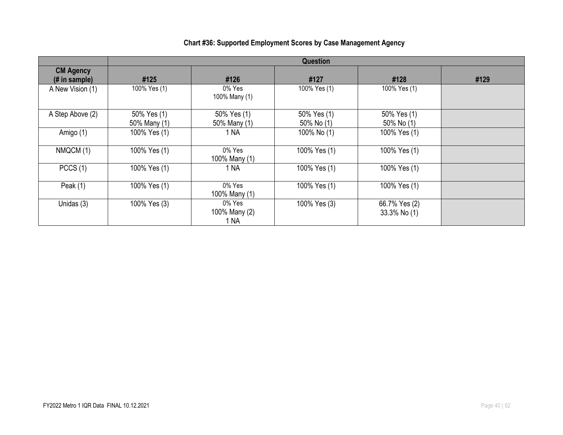|                                   | <b>Question</b>             |                                 |                           |                                |      |  |
|-----------------------------------|-----------------------------|---------------------------------|---------------------------|--------------------------------|------|--|
| <b>CM Agency</b><br>(# in sample) | #125                        | #126                            | #127                      | #128                           | #129 |  |
| A New Vision (1)                  | 100% Yes (1)                | 0% Yes<br>100% Many (1)         | 100% Yes (1)              | 100% Yes (1)                   |      |  |
| A Step Above (2)                  | 50% Yes (1)<br>50% Many (1) | 50% Yes (1)<br>50% Many (1)     | 50% Yes (1)<br>50% No (1) | 50% Yes (1)<br>$50\%$ No $(1)$ |      |  |
| Amigo (1)                         | 100% Yes (1)                | 1 NA                            | 100% No (1)               | 100% Yes (1)                   |      |  |
| NMQCM (1)                         | 100% Yes (1)                | 0% Yes<br>100% Many (1)         | 100% Yes (1)              | 100% Yes (1)                   |      |  |
| PCCS(1)                           | 100% Yes (1)                | 1 NA                            | 100% Yes (1)              | 100% Yes (1)                   |      |  |
| Peak $(1)$                        | 100% Yes (1)                | 0% Yes<br>100% Many (1)         | 100% Yes (1)              | 100% Yes (1)                   |      |  |
| Unidas (3)                        | 100% Yes (3)                | 0% Yes<br>100% Many (2)<br>1 NA | 100% Yes (3)              | 66.7% Yes (2)<br>33.3% No (1)  |      |  |

# **Chart #36: Supported Employment Scores by Case Management Agency**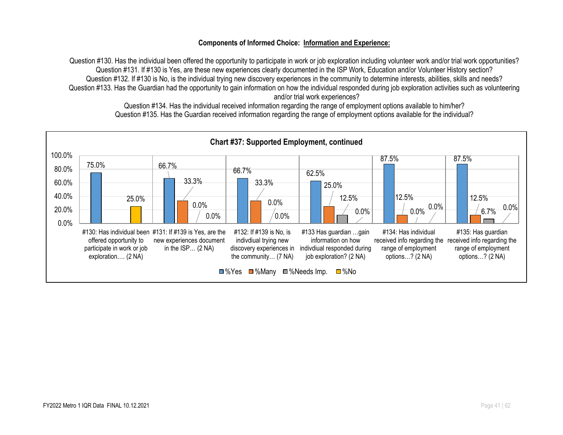#### **Components of Informed Choice: Information and Experience:**

Question #130. Has the individual been offered the opportunity to participate in work or job exploration including volunteer work and/or trial work opportunities? Question #131. If #130 is Yes, are these new experiences clearly documented in the ISP Work, Education and/or Volunteer History section? Question #132. If #130 is No, is the individual trying new discovery experiences in the community to determine interests, abilities, skills and needs? Question #133. Has the Guardian had the opportunity to gain information on how the individual responded during job exploration activities such as volunteering and/or trial work experiences?

Question #134. Has the individual received information regarding the range of employment options available to him/her? Question #135. Has the Guardian received information regarding the range of employment options available for the individual?

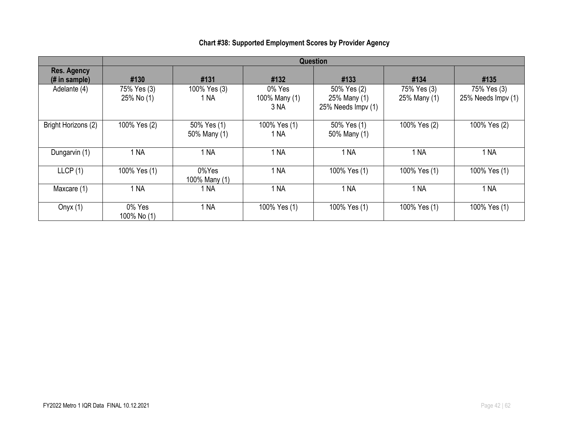|                                                       | <b>Question</b>           |                             |                                 |                                                   |                             |                                   |  |
|-------------------------------------------------------|---------------------------|-----------------------------|---------------------------------|---------------------------------------------------|-----------------------------|-----------------------------------|--|
| <b>Res. Agency</b><br>$(H \in \mathbb{R})$ in sample) | #130                      | #131                        | #132                            | #133                                              | #134                        | #135                              |  |
| Adelante (4)                                          | 75% Yes (3)<br>25% No (1) | 100% Yes (3)<br>1 NA        | 0% Yes<br>100% Many (1)<br>3 NA | 50% Yes (2)<br>25% Many (1)<br>25% Needs Impv (1) | 75% Yes (3)<br>25% Many (1) | 75% Yes (3)<br>25% Needs Impv (1) |  |
| Bright Horizons (2)                                   | 100% Yes (2)              | 50% Yes (1)<br>50% Many (1) | 100% Yes (1)<br>1 NA            | 50% Yes (1)<br>50% Many (1)                       | 100% Yes (2)                | 100% Yes (2)                      |  |
| Dungarvin (1)                                         | 1 <sub>NA</sub>           | 1 NA                        | 1 NA                            | 1 NA                                              | 1 NA                        | 1 NA                              |  |
| LLCP(1)                                               | 100% Yes (1)              | 0%Yes<br>100% Many (1)      | 1 NA                            | 100% Yes (1)                                      | 100% Yes (1)                | 100% Yes (1)                      |  |
| Maxcare (1)                                           | 1 NA                      | 1 NA                        | 1 NA                            | 1 NA                                              | 1 NA                        | 1 NA                              |  |
| Onyx $(1)$                                            | 0% Yes<br>100% No (1)     | 1 NA                        | 100% Yes (1)                    | 100% Yes (1)                                      | 100% Yes (1)                | 100% Yes (1)                      |  |

# **Chart #38: Supported Employment Scores by Provider Agency**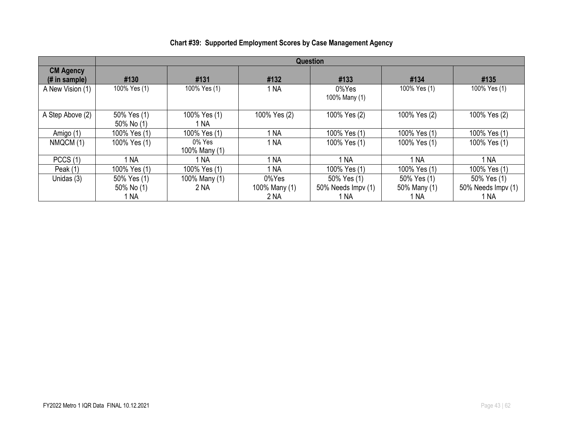|                                                     | <b>Question</b>           |                            |               |                        |              |                    |  |
|-----------------------------------------------------|---------------------------|----------------------------|---------------|------------------------|--------------|--------------------|--|
| <b>CM Agency</b><br>$(H \in \mathbb{R})$ in sample) | #130                      | #131                       | #132          | #133                   | #134         | #135               |  |
| A New Vision (1)                                    | 100% Yes (1)              | 100% Yes (1)               | 1 NA          | 0%Yes<br>100% Many (1) | 100% Yes (1) | 100% Yes (1)       |  |
| A Step Above (2)                                    | 50% Yes (1)<br>50% No (1) | 100% Yes (1)<br>1 NA       | 100% Yes (2)  | 100% Yes (2)           | 100% Yes (2) | 100% Yes (2)       |  |
| Amigo (1)                                           | 100% Yes (1)              | 100% Yes (1)               | 1 NA          | 100% Yes (1)           | 100% Yes (1) | 100% Yes (1)       |  |
| NMQCM (1)                                           | 100% Yes (1)              | $0\%$ Yes<br>100% Many (1) | 1 NA          | 100% Yes (1)           | 100% Yes (1) | 100% Yes (1)       |  |
| PCCS(1)                                             | <b>NA</b>                 | 1 NA                       | 1 NA          | 1 NA                   | 1 NA         | 1 NA               |  |
| Peak $(1)$                                          | 100% Yes (1)              | 100% Yes (1)               | 1 NA          | 100% Yes (1)           | 100% Yes (1) | 100% Yes (1)       |  |
| Unidas (3)                                          | 50% Yes (1)               | 100% Many (1)              | 0%Yes         | 50% Yes (1)            | 50% Yes (1)  | 50% Yes (1)        |  |
|                                                     | 50% No (1)                | 2 <sub>NA</sub>            | 100% Many (1) | 50% Needs Impv (1)     | 50% Many (1) | 50% Needs Impv (1) |  |
|                                                     | 1 NA                      |                            | 2 NA          | 1 NA                   | 1 NA         | 1 NA               |  |

# **Chart #39: Supported Employment Scores by Case Management Agency**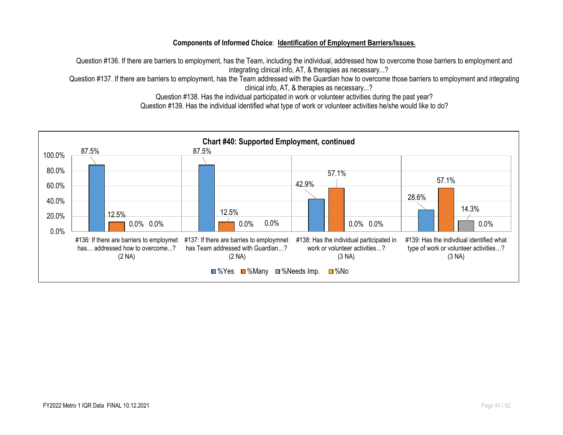#### **Components of Informed Choice**: **Identification of Employment Barriers/Issues.**

Question #136. If there are barriers to employment, has the Team, including the individual, addressed how to overcome those barriers to employment and integrating clinical info, AT, & therapies as necessary...?

Question #137. If there are barriers to employment, has the Team addressed with the Guardian how to overcome those barriers to employment and integrating clinical info, AT, & therapies as necessary...?

Question #138. Has the individual participated in work or volunteer activities during the past year?

Question #139. Has the individual identified what type of work or volunteer activities he/she would like to do?

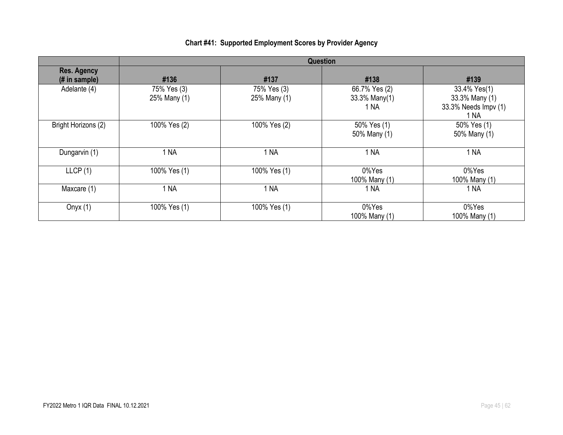# **Chart #41: Supported Employment Scores by Provider Agency**

|                                      | <b>Question</b>             |                             |                                        |                                                                |  |  |  |
|--------------------------------------|-----------------------------|-----------------------------|----------------------------------------|----------------------------------------------------------------|--|--|--|
| <b>Res. Agency</b><br>$#$ in sample) | #136                        | #137                        | #138                                   | #139                                                           |  |  |  |
| Adelante (4)                         | 75% Yes (3)<br>25% Many (1) | 75% Yes (3)<br>25% Many (1) | 66.7% Yes (2)<br>33.3% Many(1)<br>1 NA | 33.4% Yes(1)<br>33.3% Many (1)<br>33.3% Needs Impv (1)<br>1 NA |  |  |  |
| Bright Horizons (2)                  | 100% Yes (2)                | 100% Yes (2)                | 50% Yes (1)<br>50% Many (1)            | 50% Yes (1)<br>50% Many (1)                                    |  |  |  |
| Dungarvin (1)                        | 1 NA                        | 1 NA                        | 1 NA                                   | 1 <sub>NA</sub>                                                |  |  |  |
| LLCP(1)                              | 100% Yes (1)                | 100% Yes (1)                | 0%Yes<br>100% Many (1)                 | 0%Yes<br>100% Many (1)                                         |  |  |  |
| Maxcare (1)                          | 1 NA                        | 1 <sub>NA</sub>             | 1 NA                                   | 1 <sub>NA</sub>                                                |  |  |  |
| Onyx $(1)$                           | 100% Yes (1)                | 100% Yes (1)                | 0%Yes<br>100% Many (1)                 | 0%Yes<br>100% Many (1)                                         |  |  |  |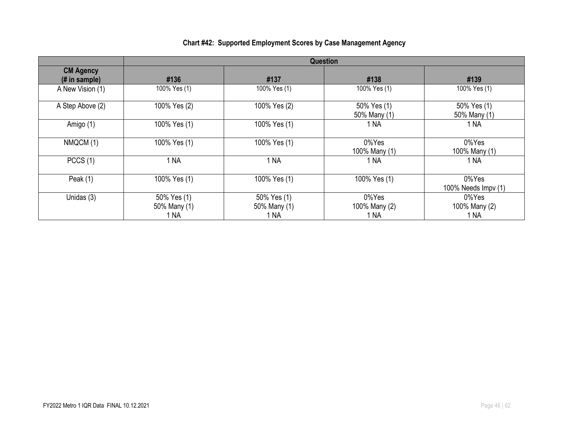|                                    | <b>Question</b>                     |                                     |                                |                                |
|------------------------------------|-------------------------------------|-------------------------------------|--------------------------------|--------------------------------|
| <b>CM Agency</b><br>$#$ in sample) | #136                                | #137                                | #138                           | #139                           |
| A New Vision (1)                   | 100% Yes (1)                        | 100% Yes (1)                        | 100% Yes (1)                   | 100% Yes (1)                   |
| A Step Above (2)                   | 100% Yes (2)                        | 100% Yes (2)                        | 50% Yes (1)<br>50% Many (1)    | 50% Yes (1)<br>50% Many (1)    |
| Amigo (1)                          | 100% Yes (1)                        | 100% Yes (1)                        | 1 NA                           | 1 NA                           |
| NMQCM (1)                          | 100% Yes (1)                        | 100% Yes (1)                        | 0%Yes<br>100% Many (1)         | 0%Yes<br>100% Many (1)         |
| PCCS(1)                            | 1 <sub>NA</sub>                     | 1 <sub>NA</sub>                     | 1 NA                           | 1 NA                           |
| Peak $(1)$                         | 100% Yes (1)                        | 100% Yes (1)                        | 100% Yes (1)                   | 0%Yes<br>100% Needs Impv (1)   |
| Unidas (3)                         | 50% Yes (1)<br>50% Many (1)<br>1 NA | 50% Yes (1)<br>50% Many (1)<br>1 NA | 0%Yes<br>100% Many (2)<br>1 NA | 0%Yes<br>100% Many (2)<br>1 NA |

# **Chart #42: Supported Employment Scores by Case Management Agency**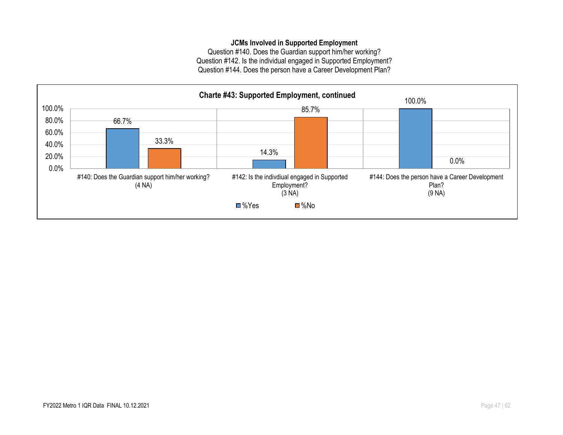### **JCMs Involved in Supported Employment**

Question #140. Does the Guardian support him/her working? Question #142. Is the individual engaged in Supported Employment? Question #144. Does the person have a Career Development Plan?

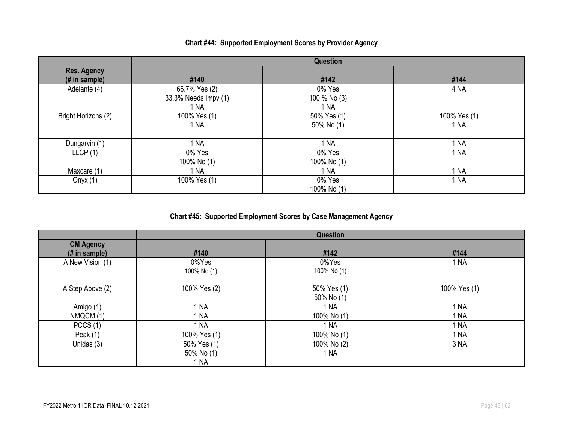### **Chart #44: Supported Employment Scores by Provider Agency**

|                                     |                                               | Question                       |                      |
|-------------------------------------|-----------------------------------------------|--------------------------------|----------------------|
| <b>Res. Agency</b><br>(# in sample) | #140                                          | #142                           | #144                 |
| Adelante (4)                        | 66.7% Yes (2)<br>33.3% Needs Impv (1)<br>1 NA | 0% Yes<br>100 % No (3)<br>1 NA | 4 <sub>NA</sub>      |
| Bright Horizons (2)                 | 100% Yes (1)<br>1 NA                          | 50% Yes (1)<br>50% No (1)      | 100% Yes (1)<br>1 NA |
| Dungarvin (1)                       | 1 NA                                          | 1 NA                           | 1 <sub>NA</sub>      |
| LLCP(1)                             | 0% Yes<br>100% No (1)                         | 0% Yes<br>100% No (1)          | 1 <sub>NA</sub>      |
| Maxcare (1)                         | 1 NA                                          | 1 NA                           | 1 <sub>NA</sub>      |
| Onyx $(1)$                          | 100% Yes (1)                                  | 0% Yes<br>100% No (1)          | 1 NA                 |

### **Chart #45: Supported Employment Scores by Case Management Agency**

|                                    |                                   | Question                  |                 |
|------------------------------------|-----------------------------------|---------------------------|-----------------|
| <b>CM Agency</b><br>$#$ in sample) | #140                              | #142                      | #144            |
| A New Vision (1)                   | 0%Yes<br>100% No (1)              | 0%Yes<br>100% No (1)      | 1 NA            |
| A Step Above (2)                   | 100% Yes (2)                      | 50% Yes (1)<br>50% No (1) | 100% Yes (1)    |
| Amigo (1)                          | NA                                | 1 NA                      | 1 NA            |
| NMQCM (1)                          | ' NA                              | 100% No (1)               | 1 <sub>NA</sub> |
| PCCS(1)                            | NA                                | 1 NA                      | 1 NA            |
| Peak $(1)$                         | 100% Yes (1)                      | 100% No (1)               | 1 <sub>NA</sub> |
| Unidas (3)                         | 50% Yes (1)<br>50% No (1)<br>1 NA | 100% No (2)<br>1 NA       | 3 NA            |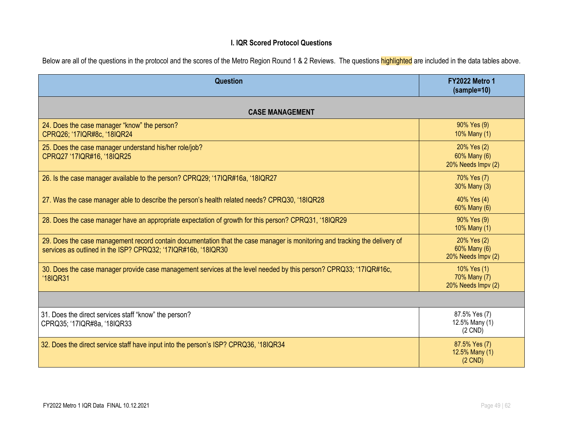### **I. IQR Scored Protocol Questions**

| Below are all of the questions in the protocol and the scores of the Metro Region Round 1 & 2 Reviews. The questions highlighted are included in the data tables above. |  |  |
|-------------------------------------------------------------------------------------------------------------------------------------------------------------------------|--|--|
|                                                                                                                                                                         |  |  |
|                                                                                                                                                                         |  |  |

| <b>Question</b>                                                                                                                                                                             | <b>FY2022 Metro 1</b><br>$(sample=10)$            |
|---------------------------------------------------------------------------------------------------------------------------------------------------------------------------------------------|---------------------------------------------------|
| <b>CASE MANAGEMENT</b>                                                                                                                                                                      |                                                   |
| 24. Does the case manager "know" the person?<br>CPRQ26; '17IQR#8c, '18IQR24                                                                                                                 | 90% Yes (9)<br>10% Many (1)                       |
| 25. Does the case manager understand his/her role/job?<br>CPRQ27 '17IQR#16, '18IQR25                                                                                                        | 20% Yes (2)<br>60% Many (6)<br>20% Needs Impv (2) |
| 26. Is the case manager available to the person? CPRQ29; '17IQR#16a, '18IQR27                                                                                                               | 70% Yes (7)<br>30% Many (3)                       |
| 27. Was the case manager able to describe the person's health related needs? CPRQ30, '18IQR28                                                                                               | 40% Yes (4)<br>60% Many (6)                       |
| 28. Does the case manager have an appropriate expectation of growth for this person? CPRQ31, '18IQR29                                                                                       | 90% Yes (9)<br>10% Many (1)                       |
| 29. Does the case management record contain documentation that the case manager is monitoring and tracking the delivery of<br>services as outlined in the ISP? CPRQ32; '17IQR#16b, '18IQR30 | 20% Yes (2)<br>60% Many (6)<br>20% Needs Impv (2) |
| 30. Does the case manager provide case management services at the level needed by this person? CPRQ33; '17IQR#16c,<br>'18IQR31                                                              | 10% Yes (1)<br>70% Many (7)<br>20% Needs Impv (2) |
|                                                                                                                                                                                             |                                                   |
| 31. Does the direct services staff "know" the person?<br>CPRQ35; '17IQR#8a, '18IQR33                                                                                                        | 87.5% Yes (7)<br>12.5% Many (1)<br>$(2$ CND)      |
| 32. Does the direct service staff have input into the person's ISP? CPRQ36, '18IQR34                                                                                                        | 87.5% Yes (7)<br>12.5% Many (1)<br>$(2$ CND)      |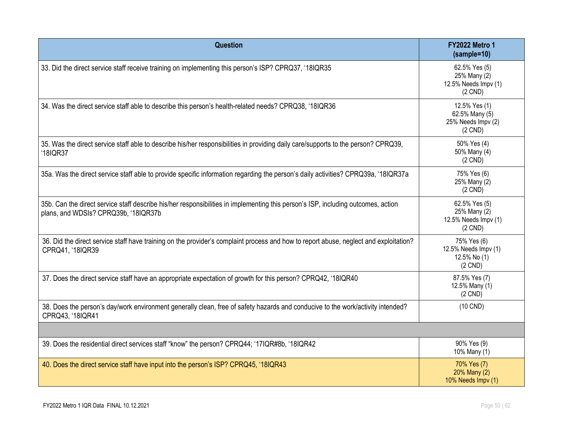| <b>Question</b>                                                                                                                                                           | <b>FY2022 Metro 1</b><br>$(sample=10)$                             |
|---------------------------------------------------------------------------------------------------------------------------------------------------------------------------|--------------------------------------------------------------------|
| 33. Did the direct service staff receive training on implementing this person's ISP? CPRQ37, '18IQR35                                                                     | 62.5% Yes (5)<br>25% Many (2)<br>12.5% Needs Impv (1)<br>$(2$ CND) |
| 34. Was the direct service staff able to describe this person's health-related needs? CPRQ38, '18IQR36                                                                    | 12.5% Yes (1)<br>62.5% Many (5)<br>25% Needs Impv (2)<br>$(2$ CND) |
| 35. Was the direct service staff able to describe his/her responsibilities in providing daily care/supports to the person? CPRQ39,<br>'18IQR37                            | 50% Yes (4)<br>50% Many (4)<br>$(2$ CND)                           |
| 35a. Was the direct service staff able to provide specific information regarding the person's daily activities? CPRQ39a, '18IQR37a                                        | 75% Yes (6)<br>25% Many (2)<br>$(2$ CND)                           |
| 35b. Can the direct service staff describe his/her responsibilities in implementing this person's ISP, including outcomes, action<br>plans, and WDSIs? CPRQ39b, '18IQR37b | 62.5% Yes (5)<br>25% Many (2)<br>12.5% Needs Impv (1)<br>$(2$ CND) |
| 36. Did the direct service staff have training on the provider's complaint process and how to report abuse, neglect and exploitation?<br>CPRQ41, '18IQR39                 | 75% Yes (6)<br>12.5% Needs Impv (1)<br>12.5% No (1)<br>$(2$ CND)   |
| 37. Does the direct service staff have an appropriate expectation of growth for this person? CPRQ42, '18IQR40                                                             | 87.5% Yes (7)<br>12.5% Many (1)<br>$(2$ CND)                       |
| 38. Does the person's day/work environment generally clean, free of safety hazards and conducive to the work/activity intended?<br>CPRQ43, '18IQR41                       | $(10$ CND)                                                         |
|                                                                                                                                                                           |                                                                    |
| 39. Does the residential direct services staff "know" the person? CPRQ44; '17IQR#8b, '18IQR42                                                                             | 90% Yes (9)<br>10% Many (1)                                        |
| 40. Does the direct service staff have input into the person's ISP? CPRQ45, '18IQR43                                                                                      | 70% Yes (7)<br>20% Many (2)<br>10% Needs Impv (1)                  |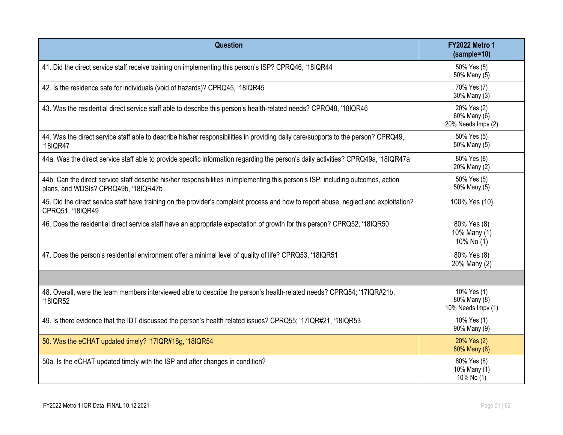| <b>Question</b>                                                                                                                                                           | <b>FY2022 Metro 1</b><br>(sample=10)              |
|---------------------------------------------------------------------------------------------------------------------------------------------------------------------------|---------------------------------------------------|
| 41. Did the direct service staff receive training on implementing this person's ISP? CPRQ46, '18IQR44                                                                     | 50% Yes (5)<br>50% Many (5)                       |
| 42. Is the residence safe for individuals (void of hazards)? CPRQ45, '18IQR45                                                                                             | 70% Yes (7)<br>30% Many (3)                       |
| 43. Was the residential direct service staff able to describe this person's health-related needs? CPRQ48, '18IQR46                                                        | 20% Yes (2)<br>60% Many (6)<br>20% Needs Impv (2) |
| 44. Was the direct service staff able to describe his/her responsibilities in providing daily care/supports to the person? CPRQ49,<br>'18IQR47                            | 50% Yes (5)<br>50% Many (5)                       |
| 44a. Was the direct service staff able to provide specific information regarding the person's daily activities? CPRQ49a, '18IQR47a                                        | 80% Yes (8)<br>20% Many (2)                       |
| 44b. Can the direct service staff describe his/her responsibilities in implementing this person's ISP, including outcomes, action<br>plans, and WDSIs? CPRQ49b, '18IQR47b | 50% Yes (5)<br>50% Many (5)                       |
| 45. Did the direct service staff have training on the provider's complaint process and how to report abuse, neglect and exploitation?<br>CPRQ51, '18IQR49                 | 100% Yes (10)                                     |
| 46. Does the residential direct service staff have an appropriate expectation of growth for this person? CPRQ52, '18IQR50                                                 | 80% Yes (8)<br>10% Many (1)<br>10% No (1)         |
| 47. Does the person's residential environment offer a minimal level of quality of life? CPRQ53, '18IQR51                                                                  | 80% Yes (8)<br>20% Many (2)                       |
|                                                                                                                                                                           |                                                   |
| 48. Overall, were the team members interviewed able to describe the person's health-related needs? CPRQ54; '17IQR#21b,<br>'18IQR52                                        | 10% Yes (1)<br>80% Many (8)<br>10% Needs Impv (1) |
| 49. Is there evidence that the IDT discussed the person's health related issues? CPRQ55; '17IQR#21, '18IQR53                                                              | 10% Yes (1)<br>90% Many (9)                       |
| 50. Was the eCHAT updated timely? '17IQR#18g, '18IQR54                                                                                                                    | 20% Yes (2)<br>80% Many (8)                       |
| 50a. Is the eCHAT updated timely with the ISP and after changes in condition?                                                                                             | 80% Yes (8)<br>10% Many (1)<br>10% No (1)         |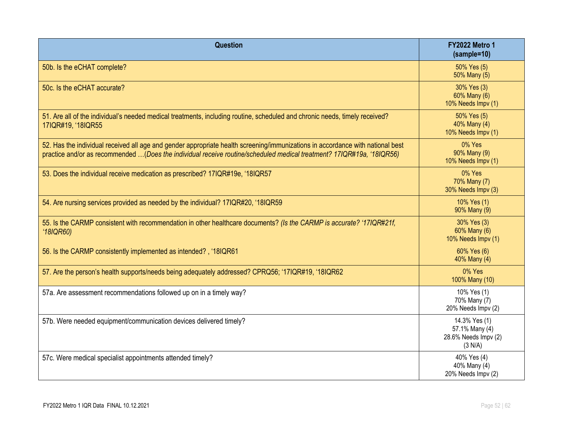| Question                                                                                                                                                                                                                                                | <b>FY2022 Metro 1</b><br>(sample=10)                               |
|---------------------------------------------------------------------------------------------------------------------------------------------------------------------------------------------------------------------------------------------------------|--------------------------------------------------------------------|
| 50b. Is the eCHAT complete?                                                                                                                                                                                                                             | 50% Yes (5)<br>50% Many (5)                                        |
| 50c. Is the eCHAT accurate?                                                                                                                                                                                                                             | 30% Yes (3)<br>60% Many (6)<br>10% Needs Impv (1)                  |
| 51. Are all of the individual's needed medical treatments, including routine, scheduled and chronic needs, timely received?<br>17IQR#19, '18IQR55                                                                                                       | 50% Yes (5)<br>40% Many (4)<br>10% Needs Impv (1)                  |
| 52. Has the individual received all age and gender appropriate health screening/immunizations in accordance with national best<br>practice and/or as recommended (Does the individual receive routine/scheduled medical treatment? 17IQR#19a, '18IQR56) | 0% Yes<br>90% Many (9)<br>10% Needs Impv (1)                       |
| 53. Does the individual receive medication as prescribed? 17IQR#19e, '18IQR57                                                                                                                                                                           | 0% Yes<br>70% Many (7)<br>30% Needs Impv (3)                       |
| 54. Are nursing services provided as needed by the individual? 17IQR#20, '18IQR59                                                                                                                                                                       | 10% Yes (1)<br>90% Many (9)                                        |
| 55. Is the CARMP consistent with recommendation in other healthcare documents? (Is the CARMP is accurate? '17IQR#21f,<br>'18IQR60                                                                                                                       | 30% Yes (3)<br>60% Many (6)<br>10% Needs Impv (1)                  |
| 56. Is the CARMP consistently implemented as intended?, '18IQR61                                                                                                                                                                                        | 60% Yes (6)<br>40% Many (4)                                        |
| 57. Are the person's health supports/needs being adequately addressed? CPRQ56; '17IQR#19, '18IQR62                                                                                                                                                      | 0% Yes<br>100% Many (10)                                           |
| 57a. Are assessment recommendations followed up on in a timely way?                                                                                                                                                                                     | 10% Yes (1)<br>70% Many (7)<br>20% Needs Impv (2)                  |
| 57b. Were needed equipment/communication devices delivered timely?                                                                                                                                                                                      | 14.3% Yes (1)<br>57.1% Many (4)<br>28.6% Needs Impv (2)<br>(3 N/A) |
| 57c. Were medical specialist appointments attended timely?                                                                                                                                                                                              | 40% Yes (4)<br>40% Many (4)<br>20% Needs Impv (2)                  |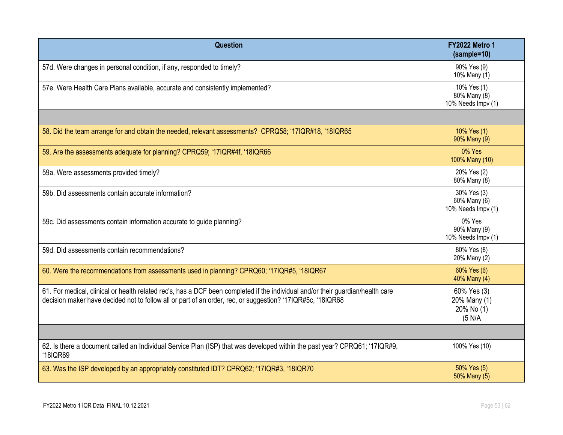| Question                                                                                                                                                                                                                                      | <b>FY2022 Metro 1</b><br>$(sample=10)$               |
|-----------------------------------------------------------------------------------------------------------------------------------------------------------------------------------------------------------------------------------------------|------------------------------------------------------|
| 57d. Were changes in personal condition, if any, responded to timely?                                                                                                                                                                         | 90% Yes (9)<br>10% Many (1)                          |
| 57e. Were Health Care Plans available, accurate and consistently implemented?                                                                                                                                                                 | 10% Yes (1)<br>80% Many (8)<br>10% Needs Impv (1)    |
|                                                                                                                                                                                                                                               |                                                      |
| 58. Did the team arrange for and obtain the needed, relevant assessments? CPRQ58; '17IQR#18, '18IQR65                                                                                                                                         | 10% Yes (1)<br>90% Many (9)                          |
| 59. Are the assessments adequate for planning? CPRQ59; '17IQR#4f, '18IQR66                                                                                                                                                                    | 0% Yes<br>100% Many (10)                             |
| 59a. Were assessments provided timely?                                                                                                                                                                                                        | 20% Yes (2)<br>80% Many (8)                          |
| 59b. Did assessments contain accurate information?                                                                                                                                                                                            | 30% Yes (3)<br>60% Many (6)<br>10% Needs Impv (1)    |
| 59c. Did assessments contain information accurate to guide planning?                                                                                                                                                                          | 0% Yes<br>90% Many (9)<br>10% Needs Impv (1)         |
| 59d. Did assessments contain recommendations?                                                                                                                                                                                                 | 80% Yes (8)<br>20% Many (2)                          |
| 60. Were the recommendations from assessments used in planning? CPRQ60; '17IQR#5, '18IQR67                                                                                                                                                    | 60% Yes (6)<br>40% Many (4)                          |
| 61. For medical, clinical or health related rec's, has a DCF been completed if the individual and/or their guardian/health care<br>decision maker have decided not to follow all or part of an order, rec, or suggestion? '17IQR#5c, '18IQR68 | 60% Yes (3)<br>20% Many (1)<br>20% No (1)<br>(5 N/A) |
|                                                                                                                                                                                                                                               |                                                      |
| 62. Is there a document called an Individual Service Plan (ISP) that was developed within the past year? CPRQ61; '17IQR#9,<br>'18IQR69                                                                                                        | 100% Yes (10)                                        |
| 63. Was the ISP developed by an appropriately constituted IDT? CPRQ62; '17IQR#3, '18IQR70                                                                                                                                                     | 50% Yes (5)<br>50% Many (5)                          |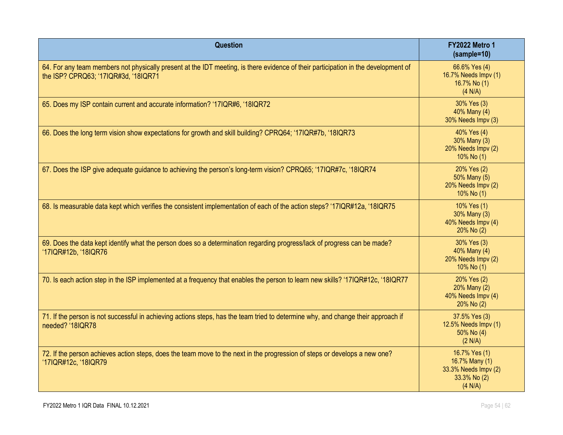| <b>Question</b>                                                                                                                                                            | <b>FY2022 Metro 1</b><br>$(sample=10)$                                             |
|----------------------------------------------------------------------------------------------------------------------------------------------------------------------------|------------------------------------------------------------------------------------|
| 64. For any team members not physically present at the IDT meeting, is there evidence of their participation in the development of<br>the ISP? CPRQ63; '17IQR#3d, '18IQR71 | 66.6% Yes (4)<br>16.7% Needs Impv (1)<br>16.7% No (1)<br>(4 N/A)                   |
| 65. Does my ISP contain current and accurate information? '17IQR#6, '18IQR72                                                                                               | 30% Yes (3)<br>40% Many (4)<br>30% Needs Impv (3)                                  |
| 66. Does the long term vision show expectations for growth and skill building? CPRQ64; '17IQR#7b, '18IQR73                                                                 | 40% Yes (4)<br>30% Many (3)<br>20% Needs Impv (2)<br>10% No $(1)$                  |
| 67. Does the ISP give adequate guidance to achieving the person's long-term vision? CPRQ65; '17IQR#7c, '18IQR74                                                            | 20% Yes (2)<br>50% Many (5)<br>20% Needs Impv (2)<br>10% No (1)                    |
| 68. Is measurable data kept which verifies the consistent implementation of each of the action steps? '17IQR#12a, '18IQR75                                                 | 10% Yes (1)<br>30% Many (3)<br>40% Needs Impv (4)<br>20% No (2)                    |
| 69. Does the data kept identify what the person does so a determination regarding progress/lack of progress can be made?<br>'17IQR#12b, '18IQR76                           | 30% Yes (3)<br>40% Many (4)<br>20% Needs Impv (2)<br>10% No (1)                    |
| 70. Is each action step in the ISP implemented at a frequency that enables the person to learn new skills? '17IQR#12c, '18IQR77                                            | 20% Yes (2)<br>20% Many (2)<br>40% Needs Impv (4)<br>20% No (2)                    |
| 71. If the person is not successful in achieving actions steps, has the team tried to determine why, and change their approach if<br>needed? '18IQR78                      | 37.5% Yes (3)<br>12.5% Needs Impv (1)<br>$50\%$ No $(4)$<br>(2 N/A)                |
| 72. If the person achieves action steps, does the team move to the next in the progression of steps or develops a new one?<br>'17IQR#12c, '18IQR79                         | 16.7% Yes (1)<br>16.7% Many (1)<br>33.3% Needs Impv (2)<br>33.3% No (2)<br>(4 N/A) |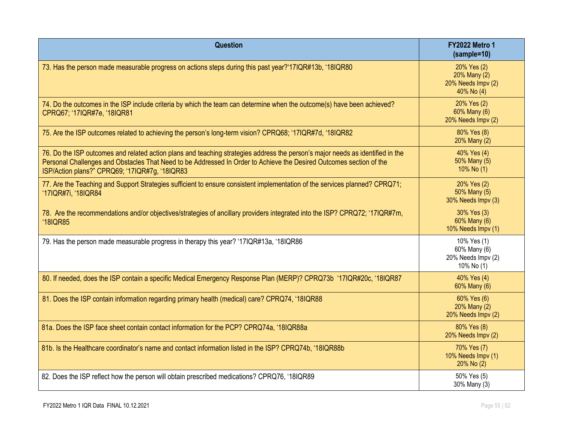| <b>Question</b>                                                                                                                                                                                                                                                                                         | <b>FY2022 Metro 1</b><br>(sample=10)                            |
|---------------------------------------------------------------------------------------------------------------------------------------------------------------------------------------------------------------------------------------------------------------------------------------------------------|-----------------------------------------------------------------|
| 73. Has the person made measurable progress on actions steps during this past year?'17IQR#13b, '18IQR80                                                                                                                                                                                                 | 20% Yes (2)<br>20% Many (2)<br>20% Needs Impv (2)<br>40% No (4) |
| 74. Do the outcomes in the ISP include criteria by which the team can determine when the outcome(s) have been achieved?<br>CPRQ67; '17IQR#7e, '18IQR81                                                                                                                                                  | 20% Yes (2)<br>60% Many (6)<br>20% Needs Impv (2)               |
| 75. Are the ISP outcomes related to achieving the person's long-term vision? CPRQ68; '17IQR#7d, '18IQR82                                                                                                                                                                                                | 80% Yes (8)<br>20% Many (2)                                     |
| 76. Do the ISP outcomes and related action plans and teaching strategies address the person's major needs as identified in the<br>Personal Challenges and Obstacles That Need to be Addressed In Order to Achieve the Desired Outcomes section of the<br>ISP/Action plans?" CPRQ69; '17IQR#7g, '18IQR83 | 40% Yes (4)<br>50% Many (5)<br>$10\%$ No (1)                    |
| 77. Are the Teaching and Support Strategies sufficient to ensure consistent implementation of the services planned? CPRQ71;<br>'17IQR#7i, '18IQR84                                                                                                                                                      | 20% Yes (2)<br>50% Many (5)<br>30% Needs Impv (3)               |
| 78. Are the recommendations and/or objectives/strategies of ancillary providers integrated into the ISP? CPRQ72; '17IQR#7m,<br>'18IQR85                                                                                                                                                                 | 30% Yes (3)<br>60% Many (6)<br>10% Needs Impv (1)               |
| 79. Has the person made measurable progress in therapy this year? '17IQR#13a, '18IQR86                                                                                                                                                                                                                  | 10% Yes (1)<br>60% Many (6)<br>20% Needs Impv (2)<br>10% No (1) |
| 80. If needed, does the ISP contain a specific Medical Emergency Response Plan (MERP)? CPRQ73b '17IQR#20c, '18IQR87                                                                                                                                                                                     | 40% Yes (4)<br>60% Many (6)                                     |
| 81. Does the ISP contain information regarding primary health (medical) care? CPRQ74, '18IQR88                                                                                                                                                                                                          | 60% Yes (6)<br>20% Many (2)<br>20% Needs Impv (2)               |
| 81a. Does the ISP face sheet contain contact information for the PCP? CPRQ74a, '18IQR88a                                                                                                                                                                                                                | 80% Yes (8)<br>20% Needs Impv (2)                               |
| 81b. Is the Healthcare coordinator's name and contact information listed in the ISP? CPRQ74b, '18IQR88b                                                                                                                                                                                                 | 70% Yes (7)<br>10% Needs Impv (1)<br>20% No (2)                 |
| 82. Does the ISP reflect how the person will obtain prescribed medications? CPRQ76, '18IQR89                                                                                                                                                                                                            | 50% Yes (5)<br>30% Many (3)                                     |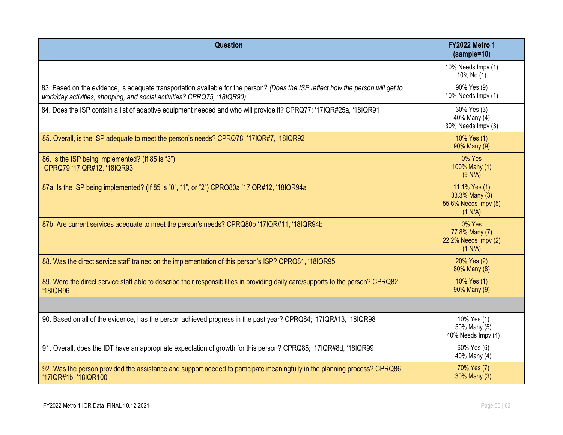| <b>Question</b>                                                                                                                                                                                             | <b>FY2022 Metro 1</b><br>(sample=10)                               |
|-------------------------------------------------------------------------------------------------------------------------------------------------------------------------------------------------------------|--------------------------------------------------------------------|
|                                                                                                                                                                                                             | 10% Needs Impv (1)<br>10% No (1)                                   |
| 83. Based on the evidence, is adequate transportation available for the person? (Does the ISP reflect how the person will get to<br>work/day activities, shopping, and social activities? CPRQ75, '18IQR90) | 90% Yes (9)<br>10% Needs Impv (1)                                  |
| 84. Does the ISP contain a list of adaptive equipment needed and who will provide it? CPRQ77; '17IQR#25a, '18IQR91                                                                                          | 30% Yes (3)<br>40% Many (4)<br>30% Needs Impv (3)                  |
| 85. Overall, is the ISP adequate to meet the person's needs? CPRQ78; '17IQR#7, '18IQR92                                                                                                                     | 10% Yes (1)<br>90% Many (9)                                        |
| 86. Is the ISP being implemented? (If 85 is "3")<br>CPRQ79 '17IQR#12, '18IQR93                                                                                                                              | 0% Yes<br>100% Many (1)<br>(9 N/A)                                 |
| 87a. Is the ISP being implemented? (If 85 is "0", "1", or "2") CPRQ80a '17IQR#12, '18IQR94a                                                                                                                 | 11.1% Yes (1)<br>33.3% Many (3)<br>55.6% Needs Impv (5)<br>(1 N/A) |
| 87b. Are current services adequate to meet the person's needs? CPRQ80b '17IQR#11, '18IQR94b                                                                                                                 | 0% Yes<br>77.8% Many (7)<br>22.2% Needs Impv (2)<br>(1 N/A)        |
| 88. Was the direct service staff trained on the implementation of this person's ISP? CPRQ81, '18IQR95                                                                                                       | 20% Yes (2)<br>80% Many (8)                                        |
| 89. Were the direct service staff able to describe their responsibilities in providing daily care/supports to the person? CPRQ82,<br>'18IQR96                                                               | 10% Yes (1)<br>90% Many (9)                                        |
|                                                                                                                                                                                                             |                                                                    |
| 90. Based on all of the evidence, has the person achieved progress in the past year? CPRQ84; '17IQR#13, '18IQR98                                                                                            | 10% Yes (1)<br>50% Many (5)<br>40% Needs Impv (4)                  |
| 91. Overall, does the IDT have an appropriate expectation of growth for this person? CPRQ85; '17IQR#8d, '18IQR99                                                                                            | 60% Yes (6)<br>40% Many (4)                                        |
| 92. Was the person provided the assistance and support needed to participate meaningfully in the planning process? CPRQ86;<br>'17IQR#1b, '18IQR100                                                          | 70% Yes (7)<br>30% Many (3)                                        |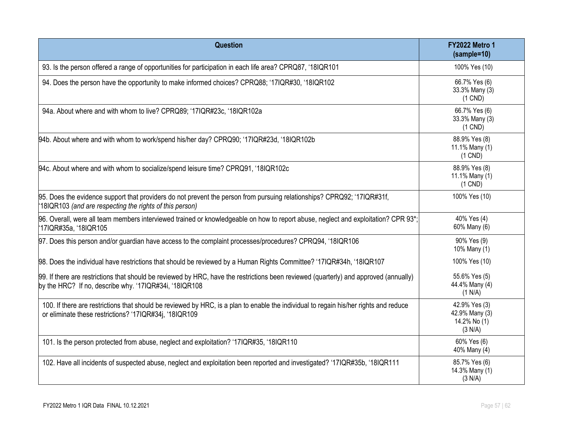| <b>Question</b>                                                                                                                                                                                 | <b>FY2022 Metro 1</b><br>(sample=10)                       |
|-------------------------------------------------------------------------------------------------------------------------------------------------------------------------------------------------|------------------------------------------------------------|
| 93. Is the person offered a range of opportunities for participation in each life area? CPRQ87, '18IQR101                                                                                       | 100% Yes (10)                                              |
| 94. Does the person have the opportunity to make informed choices? CPRQ88; '17IQR#30, '18IQR102                                                                                                 | 66.7% Yes (6)<br>33.3% Many (3)<br>$(1$ CND)               |
| 94a. About where and with whom to live? CPRQ89; '17IQR#23c, '18IQR102a                                                                                                                          | 66.7% Yes (6)<br>33.3% Many (3)<br>$(1$ CND)               |
| 94b. About where and with whom to work/spend his/her day? CPRQ90; '17IQR#23d, '18IQR102b                                                                                                        | 88.9% Yes (8)<br>11.1% Many (1)<br>$(1$ CND)               |
| 94c. About where and with whom to socialize/spend leisure time? CPRQ91, '18IQR102c                                                                                                              | 88.9% Yes (8)<br>11.1% Many (1)<br>$(1$ CND)               |
| 95. Does the evidence support that providers do not prevent the person from pursuing relationships? CPRQ92; '17IQR#31f,<br>18IQR103 (and are respecting the rights of this person)              | 100% Yes (10)                                              |
| 96. Overall, were all team members interviewed trained or knowledgeable on how to report abuse, neglect and exploitation? CPR 93*;<br>17IQR#35a, '18IQR105'                                     | 40% Yes (4)<br>60% Many (6)                                |
| 97. Does this person and/or guardian have access to the complaint processes/procedures? CPRQ94, '18IQR106                                                                                       | 90% Yes (9)<br>10% Many (1)                                |
| 98. Does the individual have restrictions that should be reviewed by a Human Rights Committee? '17IQR#34h, '18IQR107                                                                            | 100% Yes (10)                                              |
| 99. If there are restrictions that should be reviewed by HRC, have the restrictions been reviewed (quarterly) and approved (annually)<br>by the HRC? If no, describe why. '17IQR#34i, '18IQR108 | 55.6% Yes (5)<br>44.4% Many (4)<br>(1 N/A)                 |
| 100. If there are restrictions that should be reviewed by HRC, is a plan to enable the individual to regain his/her rights and reduce<br>or eliminate these restrictions? '17IQR#34j, '18IQR109 | 42.9% Yes (3)<br>42.9% Many (3)<br>14.2% No (1)<br>(3 N/A) |
| 101. Is the person protected from abuse, neglect and exploitation? '17IQR#35, '18IQR110                                                                                                         | 60% Yes (6)<br>40% Many (4)                                |
| 102. Have all incidents of suspected abuse, neglect and exploitation been reported and investigated? '17IQR#35b, '18IQR111                                                                      | 85.7% Yes (6)<br>14.3% Many (1)<br>(3 N/A)                 |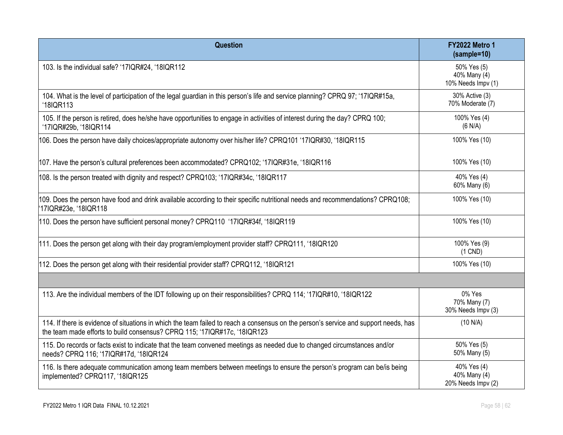| Question                                                                                                                                                                                                          | <b>FY2022 Metro 1</b><br>(sample=10)              |
|-------------------------------------------------------------------------------------------------------------------------------------------------------------------------------------------------------------------|---------------------------------------------------|
| 103. Is the individual safe? '17IQR#24, '18IQR112                                                                                                                                                                 | 50% Yes (5)<br>40% Many (4)<br>10% Needs Impv (1) |
| 104. What is the level of participation of the legal guardian in this person's life and service planning? CPRQ 97; '17IQR#15a,<br>'18IQR113                                                                       | 30% Active (3)<br>70% Moderate (7)                |
| 105. If the person is retired, does he/she have opportunities to engage in activities of interest during the day? CPRQ 100;<br>'17IQR#29b, '18IQR114                                                              | 100% Yes (4)<br>(6 N/A)                           |
| 106. Does the person have daily choices/appropriate autonomy over his/her life? CPRQ101 '17IQR#30, '18IQR115                                                                                                      | 100% Yes (10)                                     |
| 107. Have the person's cultural preferences been accommodated? CPRQ102; '17IQR#31e, '18IQR116                                                                                                                     | 100% Yes (10)                                     |
| 108. Is the person treated with dignity and respect? CPRQ103; '17IQR#34c, '18IQR117                                                                                                                               | 40% Yes (4)<br>60% Many (6)                       |
| 109. Does the person have food and drink available according to their specific nutritional needs and recommendations? CPRQ108;<br>17IQR#23e, '18IQR118                                                            | 100% Yes (10)                                     |
| 110. Does the person have sufficient personal money? CPRQ110 '17IQR#34f, '18IQR119                                                                                                                                | 100% Yes (10)                                     |
| 111. Does the person get along with their day program/employment provider staff? CPRQ111, '18IQR120                                                                                                               | 100% Yes (9)<br>$(1$ CND)                         |
| 112. Does the person get along with their residential provider staff? CPRQ112, '18IQR121                                                                                                                          | 100% Yes (10)                                     |
|                                                                                                                                                                                                                   |                                                   |
| 113. Are the individual members of the IDT following up on their responsibilities? CPRQ 114; '17IQR#10, '18IQR122                                                                                                 | 0% Yes<br>70% Many (7)<br>30% Needs Impv (3)      |
| 114. If there is evidence of situations in which the team failed to reach a consensus on the person's service and support needs, has<br>the team made efforts to build consensus? CPRQ 115; '17IQR#17c, '18IQR123 | (10 N/A)                                          |
| 115. Do records or facts exist to indicate that the team convened meetings as needed due to changed circumstances and/or<br>needs? CPRQ 116; '17IQR#17d, '18IQR124                                                | 50% Yes (5)<br>50% Many (5)                       |
| 116. Is there adequate communication among team members between meetings to ensure the person's program can be/is being<br>implemented? CPRQ117, '18IQR125                                                        | 40% Yes (4)<br>40% Many (4)<br>20% Needs Impv (2) |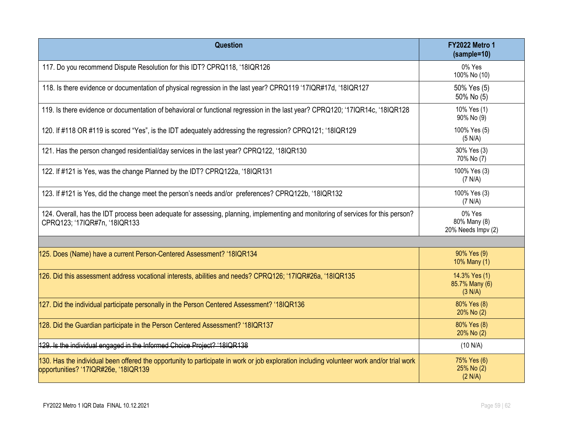| <b>Question</b>                                                                                                                                                                   | <b>FY2022 Metro 1</b><br>(sample=10)         |
|-----------------------------------------------------------------------------------------------------------------------------------------------------------------------------------|----------------------------------------------|
| 117. Do you recommend Dispute Resolution for this IDT? CPRQ118, '18IQR126                                                                                                         | 0% Yes<br>100% No (10)                       |
| 118. Is there evidence or documentation of physical regression in the last year? CPRQ119 '17IQR#17d, '18IQR127                                                                    | 50% Yes (5)<br>50% No (5)                    |
| 119. Is there evidence or documentation of behavioral or functional regression in the last year? CPRQ120; '17IQR14c, '18IQR128                                                    | 10% Yes (1)<br>90% No (9)                    |
| 120. If #118 OR #119 is scored "Yes", is the IDT adequately addressing the regression? CPRQ121; '18IQR129                                                                         | 100% Yes (5)<br>(5 N/A)                      |
| 121. Has the person changed residential/day services in the last year? CPRQ122, '18IQR130                                                                                         | 30% Yes (3)<br>70% No (7)                    |
| 122. If #121 is Yes, was the change Planned by the IDT? CPRQ122a, '18IQR131                                                                                                       | 100% Yes (3)<br>(7 N/A)                      |
| 123. If #121 is Yes, did the change meet the person's needs and/or preferences? CPRQ122b, '18IQR132                                                                               | 100% Yes (3)<br>(7 N/A)                      |
| 124. Overall, has the IDT process been adequate for assessing, planning, implementing and monitoring of services for this person?<br>CPRQ123; '17IQR#7n, '18IQR133                | 0% Yes<br>80% Many (8)<br>20% Needs Impv (2) |
|                                                                                                                                                                                   |                                              |
| 125. Does (Name) have a current Person-Centered Assessment? '18IQR134                                                                                                             | 90% Yes (9)<br>10% Many (1)                  |
| 126. Did this assessment address vocational interests, abilities and needs? CPRQ126; '17IQR#26a, '18IQR135                                                                        | 14.3% Yes (1)<br>85.7% Many (6)<br>(3 N/A)   |
| 127. Did the individual participate personally in the Person Centered Assessment? '18IQR136                                                                                       | 80% Yes (8)<br>20% No (2)                    |
| 128. Did the Guardian participate in the Person Centered Assessment? '18IQR137                                                                                                    | 80% Yes (8)<br>20% No (2)                    |
| 129. Is the individual engaged in the Informed Choice Project? '18IQR138                                                                                                          | (10 N/A)                                     |
| 130. Has the individual been offered the opportunity to participate in work or job exploration including volunteer work and/or trial work<br>opportunities? '17IQR#26e, '18IQR139 | 75% Yes (6)<br>25% No (2)<br>(2 N/A)         |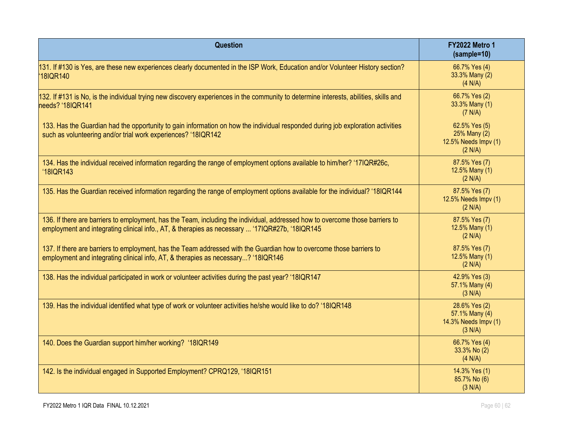| Question                                                                                                                                                                                                                        | <b>FY2022 Metro 1</b><br>$(sample=10)$                             |
|---------------------------------------------------------------------------------------------------------------------------------------------------------------------------------------------------------------------------------|--------------------------------------------------------------------|
| 131. If #130 is Yes, are these new experiences clearly documented in the ISP Work, Education and/or Volunteer History section?<br>18IQR140                                                                                      | 66.7% Yes (4)<br>33.3% Many (2)<br>(4 N/A)                         |
| 132. If #131 is No, is the individual trying new discovery experiences in the community to determine interests, abilities, skills and<br>needs? '18IQR141                                                                       | 66.7% Yes (2)<br>33.3% Many (1)<br>(7 N/A)                         |
| 133. Has the Guardian had the opportunity to gain information on how the individual responded during job exploration activities<br>such as volunteering and/or trial work experiences? '18IQR142                                | 62.5% Yes (5)<br>25% Many (2)<br>12.5% Needs Impv (1)<br>(2 N/A)   |
| 134. Has the individual received information regarding the range of employment options available to him/her? '17IQR#26c,<br>'18IQR143                                                                                           | 87.5% Yes (7)<br>12.5% Many (1)<br>(2 N/A)                         |
| 135. Has the Guardian received information regarding the range of employment options available for the individual? '18IQR144                                                                                                    | 87.5% Yes (7)<br>12.5% Needs Impv (1)<br>(2 N/A)                   |
| 136. If there are barriers to employment, has the Team, including the individual, addressed how to overcome those barriers to<br>employment and integrating clinical info., AT, & therapies as necessary  '17IQR#27b, '18IQR145 | 87.5% Yes (7)<br>12.5% Many (1)<br>(2 N/A)                         |
| 137. If there are barriers to employment, has the Team addressed with the Guardian how to overcome those barriers to<br>employment and integrating clinical info, AT, & therapies as necessary? '18IQR146                       | 87.5% Yes (7)<br>12.5% Many (1)<br>(2 N/A)                         |
| 138. Has the individual participated in work or volunteer activities during the past year? '18IQR147                                                                                                                            | 42.9% Yes (3)<br>57.1% Many (4)<br>(3 N/A)                         |
| 139. Has the individual identified what type of work or volunteer activities he/she would like to do? '18IQR148                                                                                                                 | 28.6% Yes (2)<br>57.1% Many (4)<br>14.3% Needs Impv (1)<br>(3 N/A) |
| 140. Does the Guardian support him/her working? '18IQR149                                                                                                                                                                       | 66.7% Yes (4)<br>33.3% No (2)<br>(4 N/A)                           |
| 142. Is the individual engaged in Supported Employment? CPRQ129, '18IQR151                                                                                                                                                      | 14.3% Yes (1)<br>85.7% No (6)<br>(3 N/A)                           |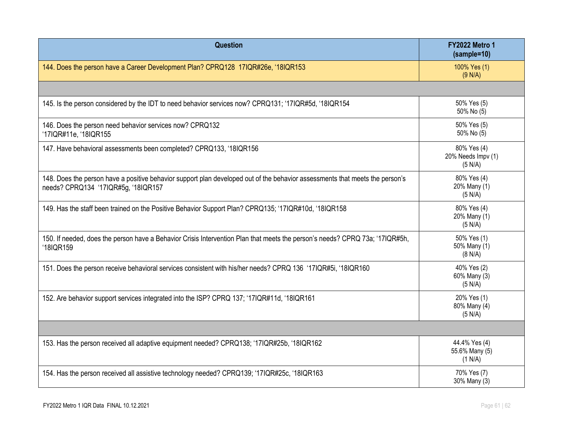| <b>Question</b>                                                                                                                                                     | <b>FY2022 Metro 1</b><br>$(sample=10)$       |
|---------------------------------------------------------------------------------------------------------------------------------------------------------------------|----------------------------------------------|
| 144. Does the person have a Career Development Plan? CPRQ128 17IQR#26e, '18IQR153                                                                                   | 100% Yes (1)<br>(9 N/A)                      |
|                                                                                                                                                                     |                                              |
| 145. Is the person considered by the IDT to need behavior services now? CPRQ131; '17IQR#5d, '18IQR154                                                               | 50% Yes (5)<br>50% No (5)                    |
| 146. Does the person need behavior services now? CPRQ132<br>'17IQR#11e, '18IQR155                                                                                   | 50% Yes (5)<br>50% No (5)                    |
| 147. Have behavioral assessments been completed? CPRQ133, '18IQR156                                                                                                 | 80% Yes (4)<br>20% Needs Impv (1)<br>(5 N/A) |
| 148. Does the person have a positive behavior support plan developed out of the behavior assessments that meets the person's<br>needs? CPRQ134 '17IQR#5g, '18IQR157 | 80% Yes (4)<br>20% Many (1)<br>(5 N/A)       |
| 149. Has the staff been trained on the Positive Behavior Support Plan? CPRQ135; '17IQR#10d, '18IQR158                                                               | 80% Yes (4)<br>20% Many (1)<br>(5 N/A)       |
| 150. If needed, does the person have a Behavior Crisis Intervention Plan that meets the person's needs? CPRQ 73a; '17IQR#5h,<br>'18IQR159                           | 50% Yes (1)<br>50% Many (1)<br>(8 N/A)       |
| 151. Does the person receive behavioral services consistent with his/her needs? CPRQ 136 '17IQR#5i, '18IQR160                                                       | 40% Yes (2)<br>60% Many (3)<br>(5 N/A)       |
| 152. Are behavior support services integrated into the ISP? CPRQ 137; '17IQR#11d, '18IQR161                                                                         | 20% Yes (1)<br>80% Many (4)<br>(5 N/A)       |
|                                                                                                                                                                     |                                              |
| 153. Has the person received all adaptive equipment needed? CPRQ138; '17IQR#25b, '18IQR162                                                                          | 44.4% Yes (4)<br>55.6% Many (5)<br>(1 N/A)   |
| 154. Has the person received all assistive technology needed? CPRQ139; '17IQR#25c, '18IQR163                                                                        | 70% Yes (7)<br>30% Many (3)                  |